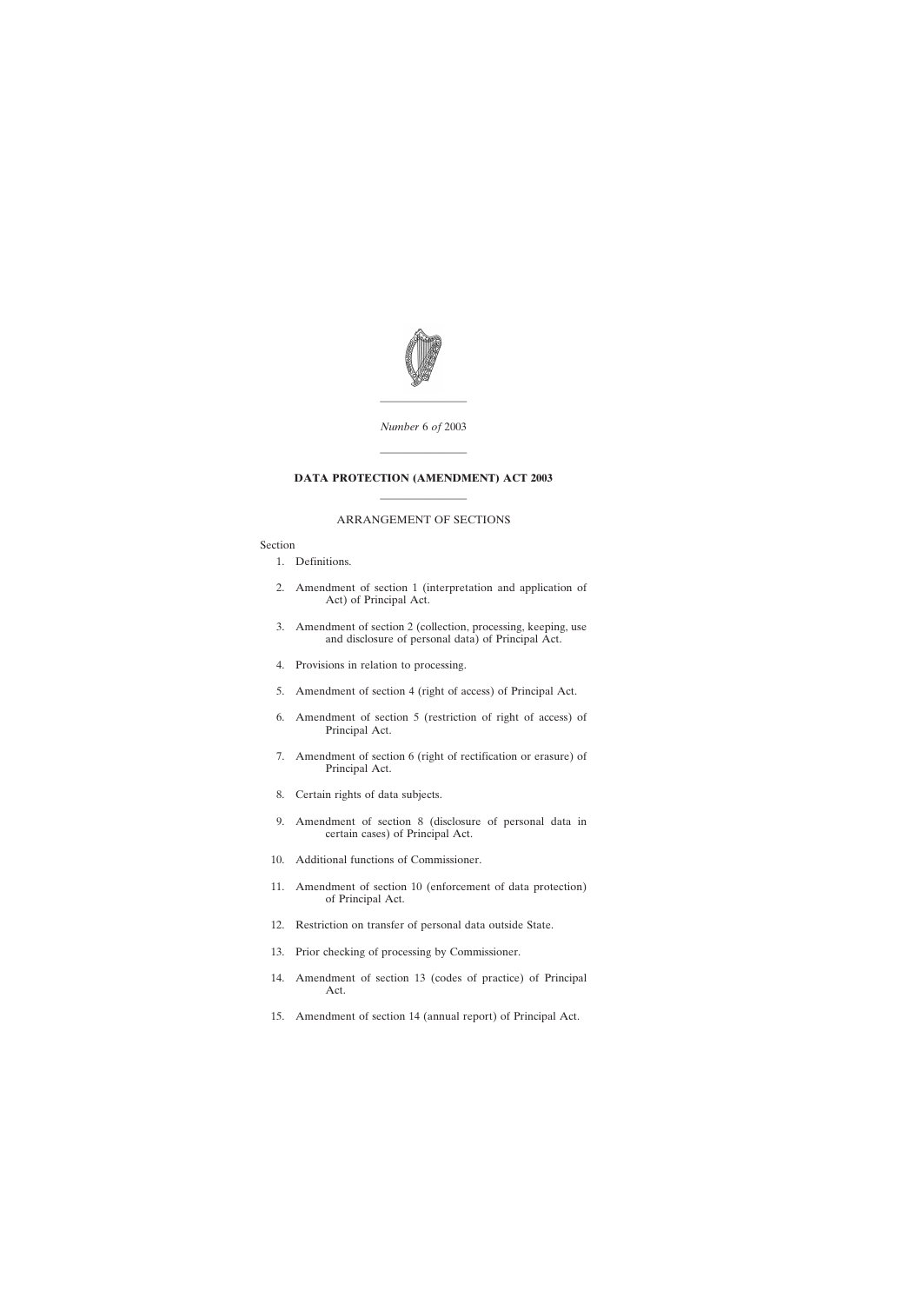

*Number* 6 *of* 2003

————————

————————

# **DATA PROTECTION (AMENDMENT) ACT 2003**

# ———————— ARRANGEMENT OF SECTIONS

## Section

- [1. Definitions.](#page-4-0)
- [2. Amendment of section 1 \(interpretation and application of](#page-4-0) [Act\) of Principal Act.](#page-4-0)
- [3. Amendment of section 2 \(collection, processing, keeping, use](#page-8-0) [and disclosure of personal data\) of Principal Act.](#page-8-0)
- [4. Provisions in relation to processing.](#page-10-0)
- [5. Amendment of section 4 \(right of access\) of Principal Act.](#page-17-0)
- [6. Amendment of section 5 \(restriction of right of access\) of](#page-20-0) [Principal Act.](#page-20-0)
- [7. Amendment of section 6 \(right of rectification or erasure\) of](#page-20-0) [Principal Act.](#page-20-0)
- [8. Certain rights of data subjects.](#page-20-0)
- [9. Amendment of section 8 \(disclosure of personal data in](#page-23-0) [certain cases\) of Principal Act.](#page-23-0)
- [10. Additional functions of Commissioner.](#page-23-0)
- [11. Amendment of section 10 \(enforcement of data protection\)](#page-24-0) [of Principal Act.](#page-24-0)
- [12. Restriction on transfer of personal data outside State.](#page-25-0)
- [13. Prior checking of processing by Commissioner.](#page-29-0)
- [14. Amendment of section 13 \(codes of practice\) of Principal](#page-31-0) [Act.](#page-31-0)
- [15. Amendment of section 14 \(annual report\) of Principal Act.](#page-33-0)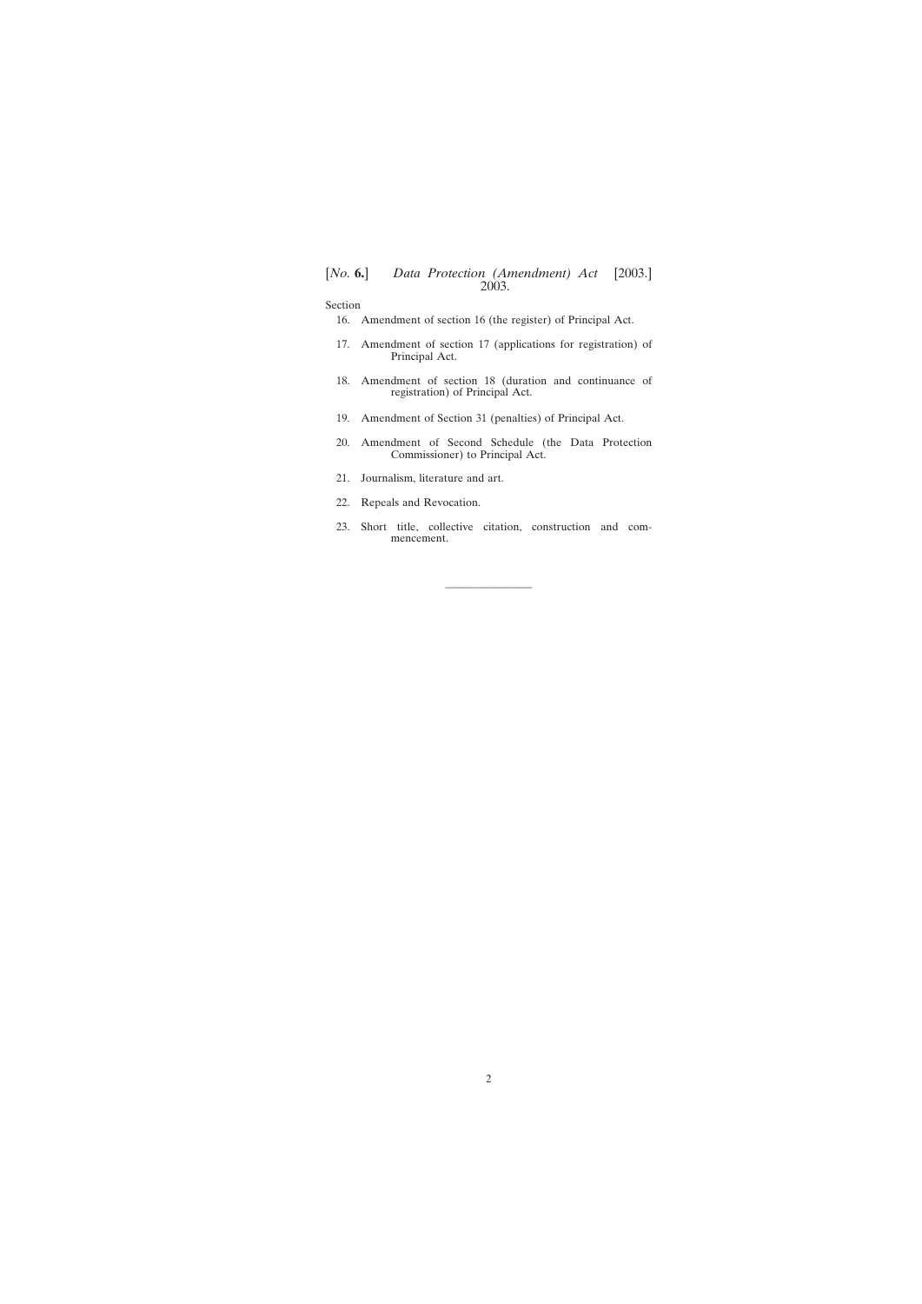Section

- [16. Amendment of section 16 \(the register\) of Principal Act.](#page-33-0)
- [17. Amendment of section 17 \(applications for registration\) of](#page-33-0) [Principal Act.](#page-33-0)
- [18. Amendment of section 18 \(duration and continuance of](#page-34-0) [registration\) of Principal Act.](#page-34-0)
- [19. Amendment of Section 31 \(penalties\) of Principal Act.](#page-34-0)
- [20. Amendment of Second Schedule \(the Data Protection](#page-34-0) [Commissioner\) to Principal Act.](#page-34-0)
- [21. Journalism, literature and art.](#page-35-0)
- [22. Repeals and Revocation.](#page-35-0)
- [23. Short title, collective citation, construction and com](#page-36-0)[mencement.](#page-36-0)

————————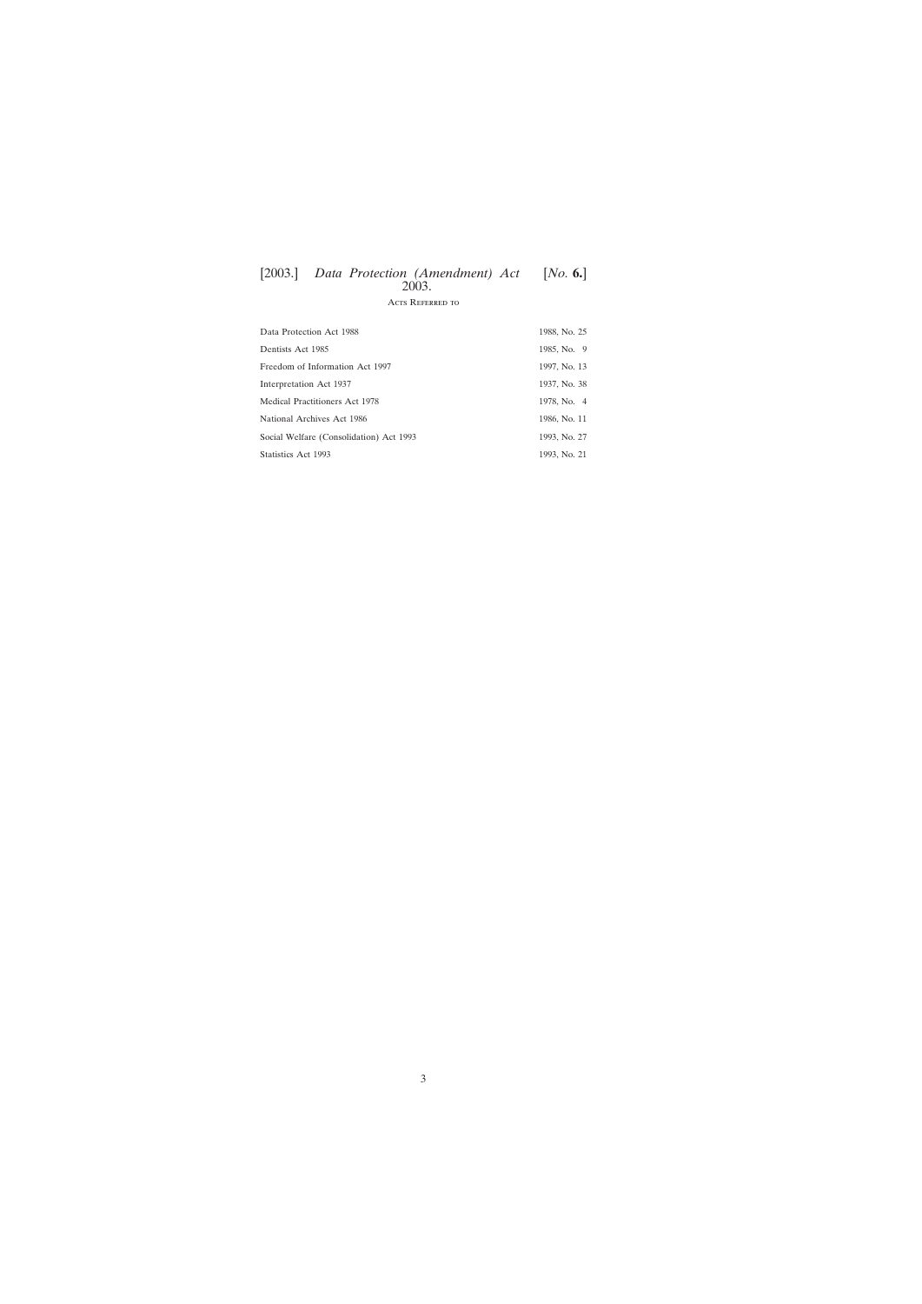# Acts Referred to

| Data Protection Act 1988                | 1988, No. 25 |
|-----------------------------------------|--------------|
| Dentists Act 1985                       | 1985, No. 9  |
| Freedom of Information Act 1997         | 1997, No. 13 |
| Interpretation Act 1937                 | 1937, No. 38 |
| Medical Practitioners Act 1978          | 1978, No. 4  |
| National Archives Act 1986              | 1986, No. 11 |
| Social Welfare (Consolidation) Act 1993 | 1993, No. 27 |
| Statistics Act 1993                     | 1993, No. 21 |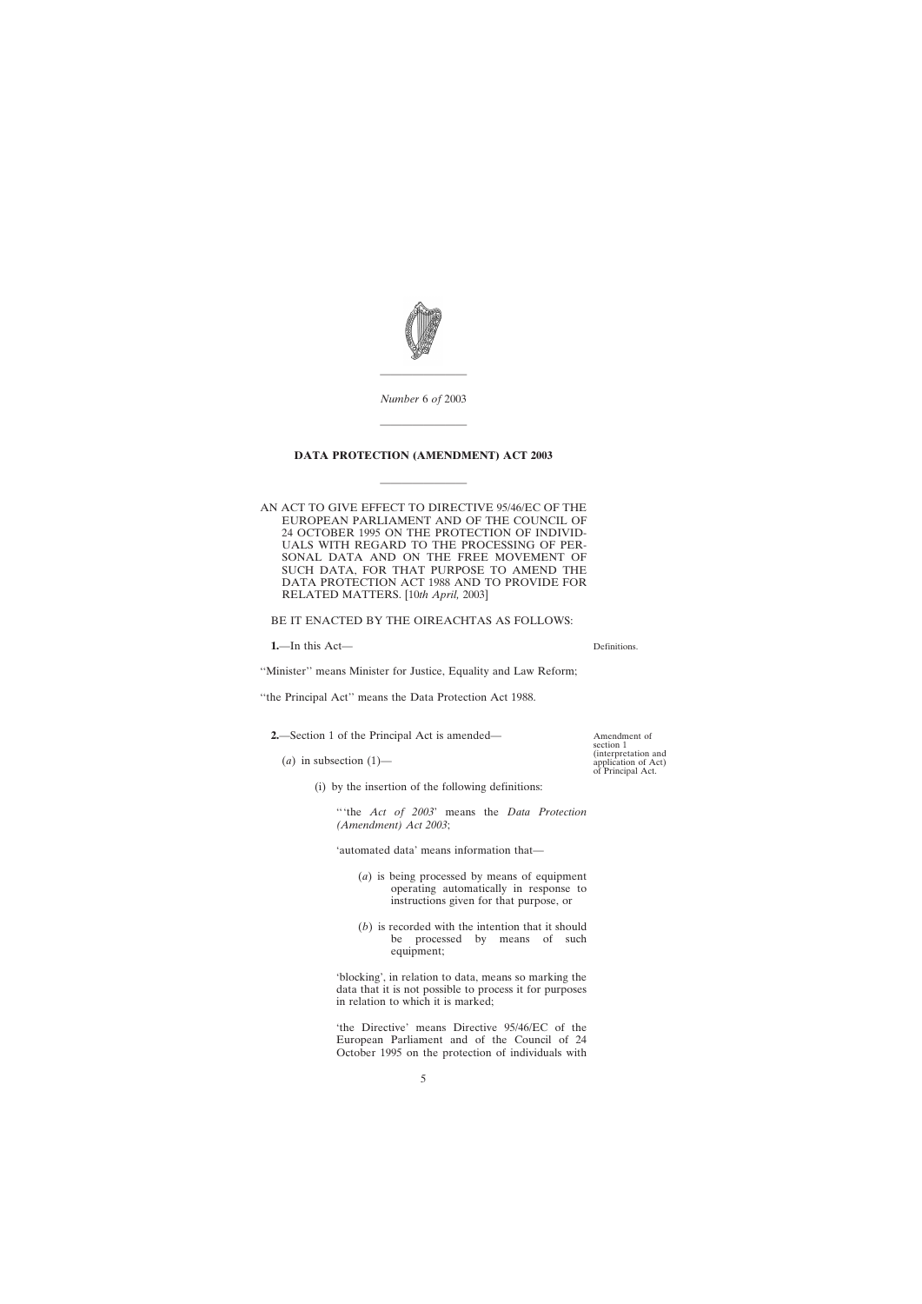<span id="page-4-0"></span>

*Number* 6 *of* 2003

————————

————————

# **DATA PROTECTION (AMENDMENT) ACT 2003**

————————

AN ACT TO GIVE EFFECT TO DIRECTIVE 95/46/EC OF THE EUROPEAN PARLIAMENT AND OF THE COUNCIL OF 24 OCTOBER 1995 ON THE PROTECTION OF INDIVID-UALS WITH REGARD TO THE PROCESSING OF PER-SONAL DATA AND ON THE FREE MOVEMENT OF SUCH DATA, FOR THAT PURPOSE TO AMEND THE DATA PROTECTION ACT 1988 AND TO PROVIDE FOR RELATED MATTERS. [10*th April,* 2003]

BE IT ENACTED BY THE OIREACHTAS AS FOLLOWS:

**1.**—In this Act—

''Minister'' means Minister for Justice, Equality and Law Reform;

"the Principal Act" means the Data Protection Act 1988.

**2.**—Section 1 of the Principal Act is amended—

- $(a)$  in subsection  $(1)$ 
	- (i) by the insertion of the following definitions:

'''the *Act of 2003*' means the *Data Protection (Amendment) Act 2003*;

'automated data' means information that—

- (*a*) is being processed by means of equipment operating automatically in response to instructions given for that purpose, or
- (*b*) is recorded with the intention that it should be processed by means of such equipment;

'blocking', in relation to data, means so marking the data that it is not possible to process it for purposes in relation to which it is marked;

'the Directive' means Directive 95/46/EC of the European Parliament and of the Council of 24 October 1995 on the protection of individuals with

Amendment of section 1 (interpretation and application of Act) of Principal Act.

Definitions.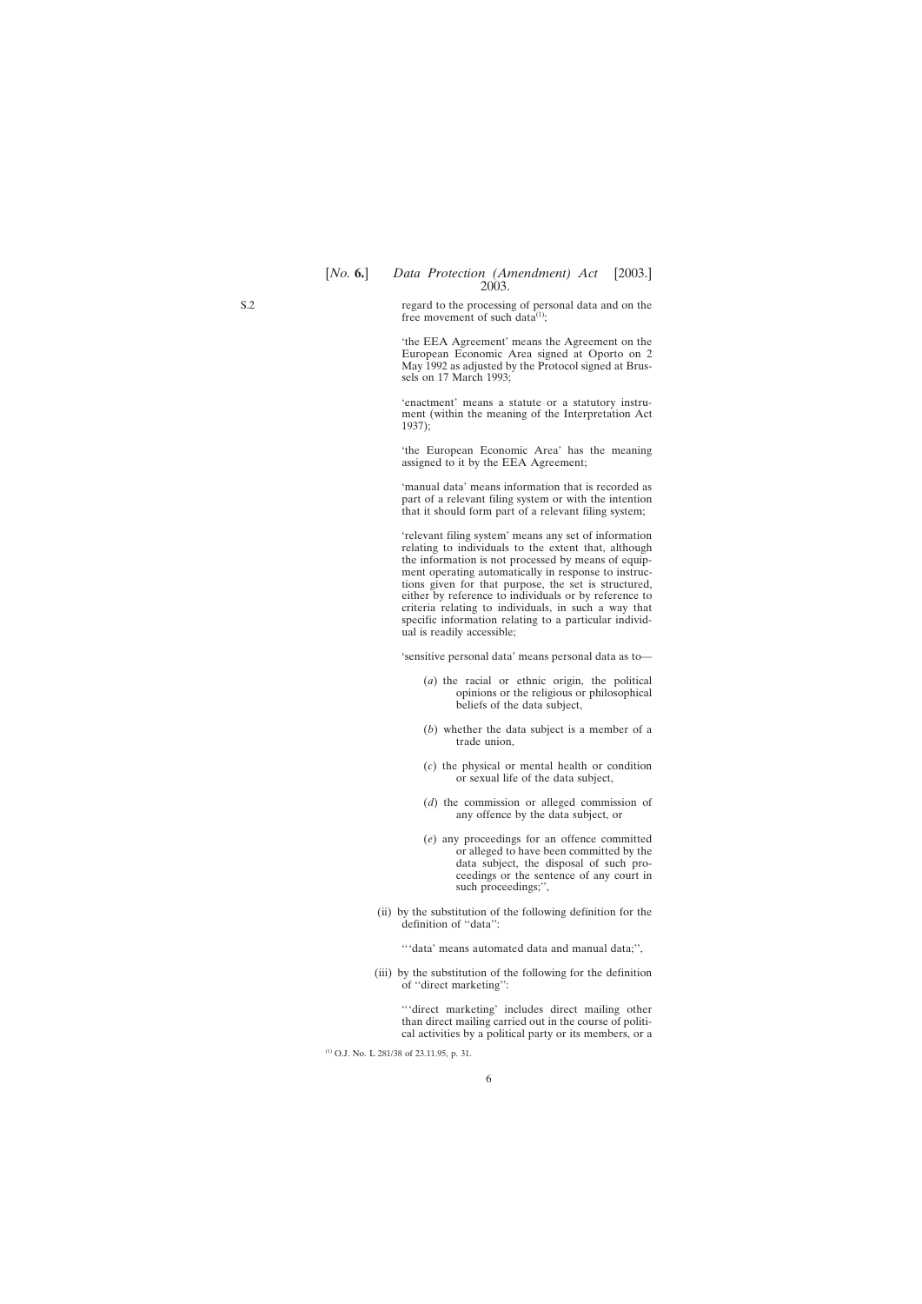regard to the processing of personal data and on the free movement of such data<sup>(1)</sup>;

'the EEA Agreement' means the Agreement on the European Economic Area signed at Oporto on 2 May 1992 as adjusted by the Protocol signed at Brussels on 17 March 1993;

'enactment' means a statute or a statutory instrument (within the meaning of the Interpretation Act 1937);

'the European Economic Area' has the meaning assigned to it by the EEA Agreement;

'manual data' means information that is recorded as part of a relevant filing system or with the intention that it should form part of a relevant filing system;

'relevant filing system' means any set of information relating to individuals to the extent that, although the information is not processed by means of equipment operating automatically in response to instructions given for that purpose, the set is structured, either by reference to individuals or by reference to criteria relating to individuals, in such a way that specific information relating to a particular individual is readily accessible;

'sensitive personal data' means personal data as to—

- (*a*) the racial or ethnic origin, the political opinions or the religious or philosophical beliefs of the data subject,
- (*b*) whether the data subject is a member of a trade union,
- (*c*) the physical or mental health or condition or sexual life of the data subject,
- (*d*) the commission or alleged commission of any offence by the data subject, or
- (*e*) any proceedings for an offence committed or alleged to have been committed by the data subject, the disposal of such proceedings or the sentence of any court in such proceedings;'',
- (ii) by the substitution of the following definition for the definition of ''data'':

'''data' means automated data and manual data;'',

(iii) by the substitution of the following for the definition of ''direct marketing'':

'''direct marketing' includes direct mailing other than direct mailing carried out in the course of political activities by a political party or its members, or a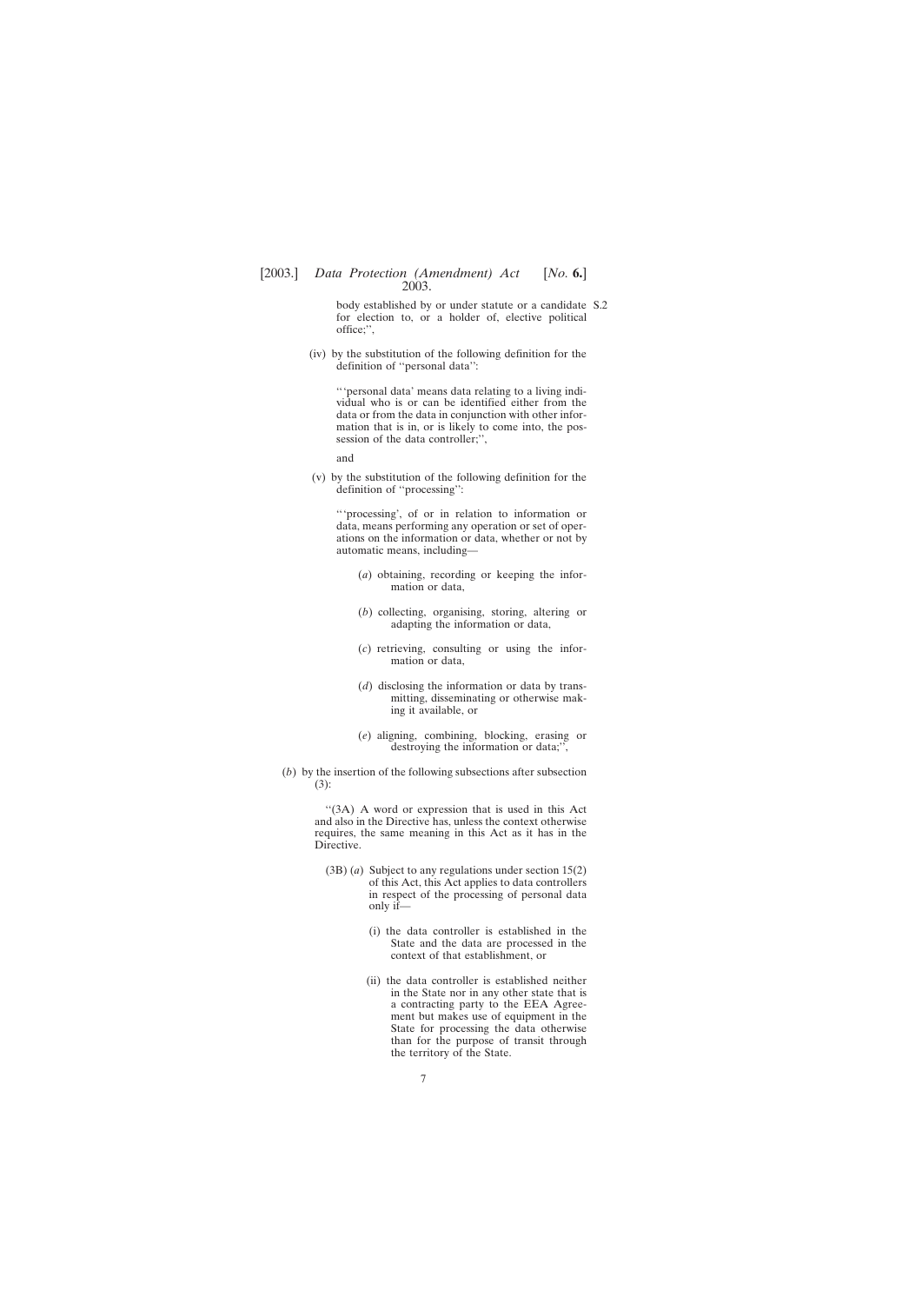body established by or under statute or a candidate S.2for election to, or a holder of, elective political office;'',

(iv) by the substitution of the following definition for the definition of ''personal data'':

'''personal data' means data relating to a living individual who is or can be identified either from the data or from the data in conjunction with other information that is in, or is likely to come into, the possession of the data controller;",

and

(v) by the substitution of the following definition for the definition of ''processing'':

'''processing', of or in relation to information or data, means performing any operation or set of operations on the information or data, whether or not by automatic means, including—

- (*a*) obtaining, recording or keeping the information or data,
- (*b*) collecting, organising, storing, altering or adapting the information or data,
- (*c*) retrieving, consulting or using the information or data,
- (*d*) disclosing the information or data by transmitting, disseminating or otherwise making it available, or
- (*e*) aligning, combining, blocking, erasing or destroying the information or data;",
- (*b*) by the insertion of the following subsections after subsection (3):

''(3A) A word or expression that is used in this Act and also in the Directive has, unless the context otherwise requires, the same meaning in this Act as it has in the Directive.

- (3B) (*a*) Subject to any regulations under section 15(2) of this Act, this Act applies to data controllers in respect of the processing of personal data only if—
	- (i) the data controller is established in the State and the data are processed in the context of that establishment, or
	- (ii) the data controller is established neither in the State nor in any other state that is a contracting party to the EEA Agreement but makes use of equipment in the State for processing the data otherwise than for the purpose of transit through the territory of the State.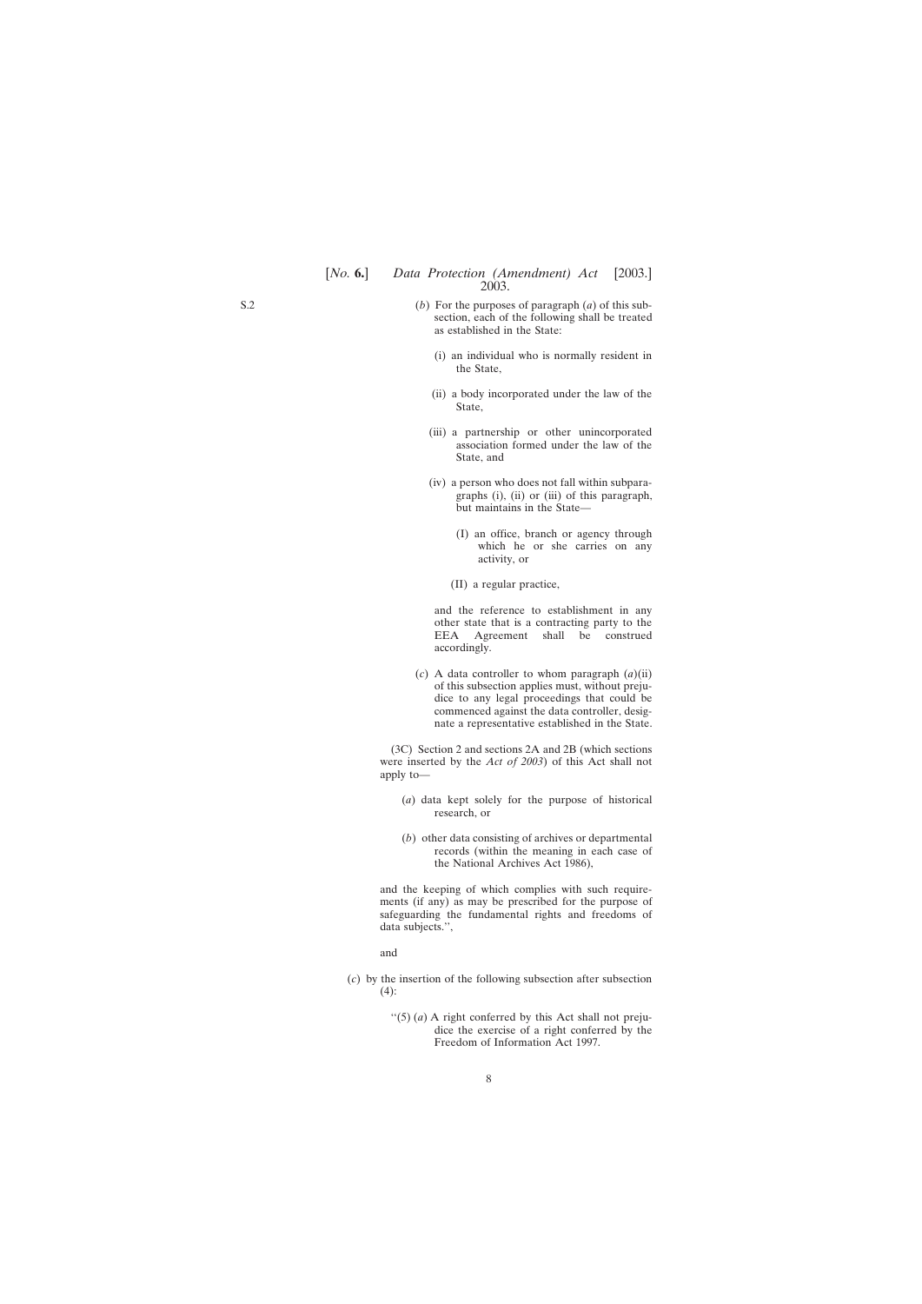- (i) an individual who is normally resident in the State,
- (ii) a body incorporated under the law of the State,
- (iii) a partnership or other unincorporated association formed under the law of the State, and
- (iv) a person who does not fall within subparagraphs (i), (ii) or (iii) of this paragraph, but maintains in the State—
	- (I) an office, branch or agency through which he or she carries on any activity, or
	- (II) a regular practice,

and the reference to establishment in any other state that is a contracting party to the<br>EEA Agreement shall be construed Agreement shall be construed accordingly.

(*c*) A data controller to whom paragraph (*a*)(ii) of this subsection applies must, without prejudice to any legal proceedings that could be commenced against the data controller, designate a representative established in the State.

(3C) Section 2 and sections 2A and 2B (which sections were inserted by the *Act of 2003*) of this Act shall not apply to—

- (*a*) data kept solely for the purpose of historical research, or
- (*b*) other data consisting of archives or departmental records (within the meaning in each case of the National Archives Act 1986),

and the keeping of which complies with such requirements (if any) as may be prescribed for the purpose of safeguarding the fundamental rights and freedoms of data subjects.'',

and

- (*c*) by the insertion of the following subsection after subsection  $(4)$ :
	- $\lq(5)$  (*a*) A right conferred by this Act shall not prejudice the exercise of a right conferred by the Freedom of Information Act 1997.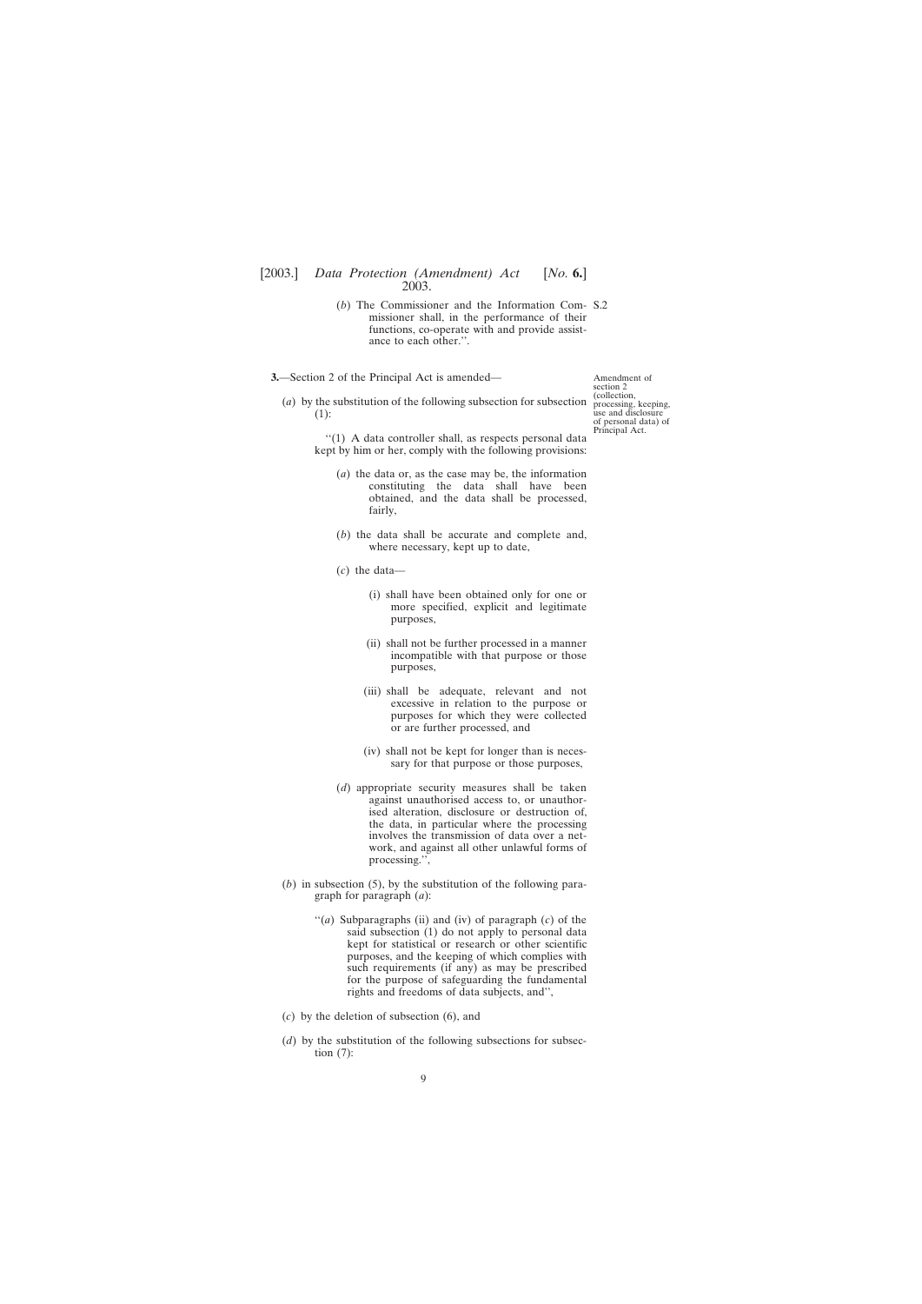- <span id="page-8-0"></span>(*b*) The Commissioner and the Information Com-S.2 missioner shall, in the performance of their functions, co-operate with and provide assistance to each other.''.
- **3.**—Section 2 of the Principal Act is amended—

Amendment of section 2 (collection, processing, keeping, use and disclosure of personal data) of Principal Act.

(*a*) by the substitution of the following subsection for subsection (1):

> ''(1) A data controller shall, as respects personal data kept by him or her, comply with the following provisions:

- (*a*) the data or, as the case may be, the information constituting the data shall have been obtained, and the data shall be processed, fairly,
- (*b*) the data shall be accurate and complete and, where necessary, kept up to date,
- (*c*) the data—
	- (i) shall have been obtained only for one or more specified, explicit and legitimate purposes,
	- (ii) shall not be further processed in a manner incompatible with that purpose or those purposes,
	- (iii) shall be adequate, relevant and not excessive in relation to the purpose or purposes for which they were collected or are further processed, and
	- (iv) shall not be kept for longer than is necessary for that purpose or those purposes,
- (*d*) appropriate security measures shall be taken against unauthorised access to, or unauthorised alteration, disclosure or destruction of, the data, in particular where the processing involves the transmission of data over a network, and against all other unlawful forms of processing.'',
- (*b*) in subsection (5), by the substitution of the following paragraph for paragraph (*a*):
	- ''(*a*) Subparagraphs (ii) and (iv) of paragraph (*c*) of the said subsection (1) do not apply to personal data kept for statistical or research or other scientific purposes, and the keeping of which complies with such requirements (if any) as may be prescribed for the purpose of safeguarding the fundamental rights and freedoms of data subjects, and'',
- (*c*) by the deletion of subsection (6), and
- (*d*) by the substitution of the following subsections for subsection (7):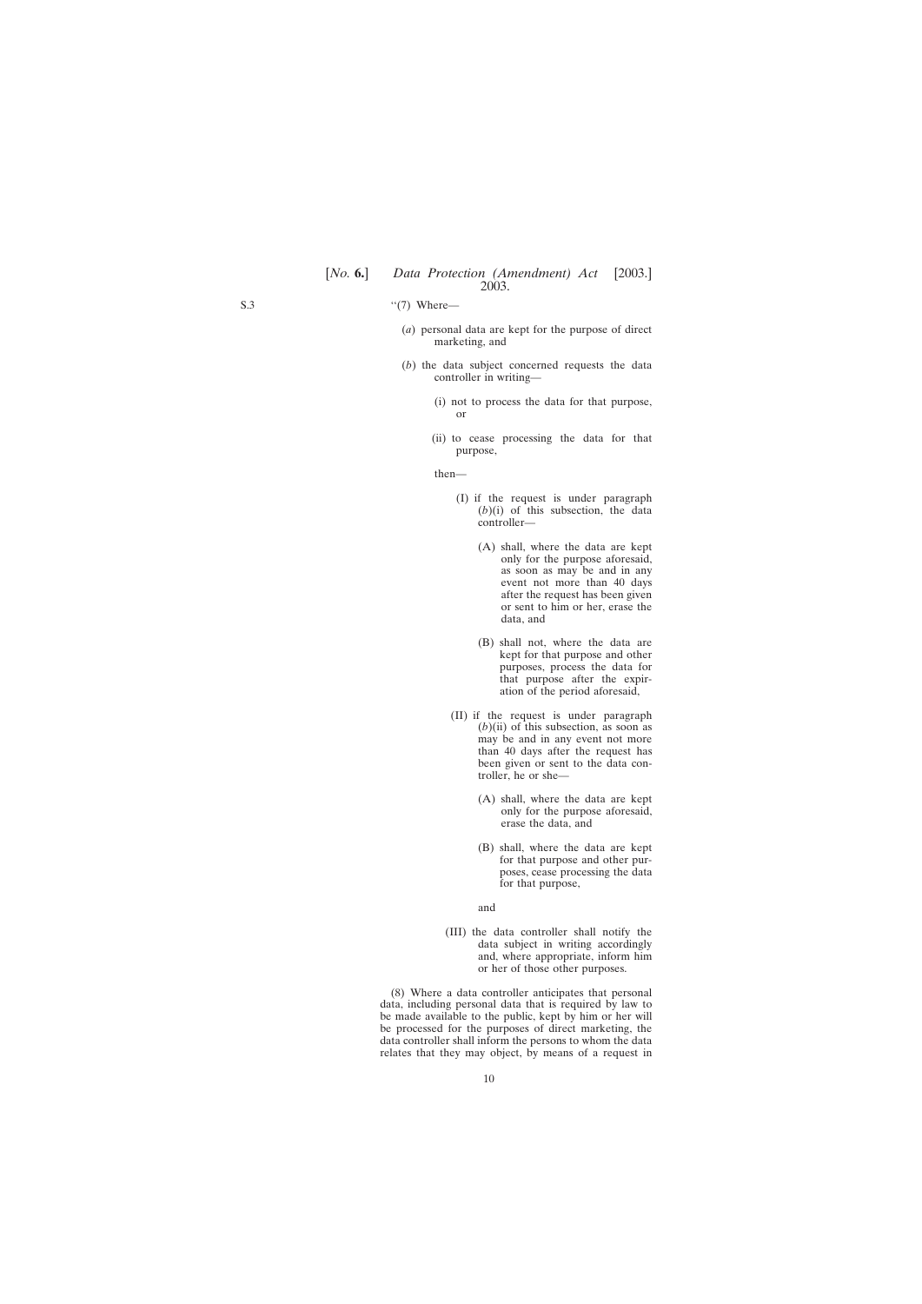- $``(7)$  Where—
	- (*a*) personal data are kept for the purpose of direct marketing, and
	- (*b*) the data subject concerned requests the data controller in writing—
		- (i) not to process the data for that purpose, or
		- (ii) to cease processing the data for that purpose,

then—

- (I) if the request is under paragraph  $(b)(i)$  of this subsection, the data controller—
	- (A) shall, where the data are kept only for the purpose aforesaid, as soon as may be and in any event not more than 40 days after the request has been given or sent to him or her, erase the data, and
	- (B) shall not, where the data are kept for that purpose and other purposes, process the data for that purpose after the expiration of the period aforesaid,
- (II) if the request is under paragraph  $(b)$ (ii) of this subsection, as soon as may be and in any event not more than 40 days after the request has been given or sent to the data controller, he or she—
	- (A) shall, where the data are kept only for the purpose aforesaid, erase the data, and
	- (B) shall, where the data are kept for that purpose and other purposes, cease processing the data for that purpose,
	- and
- (III) the data controller shall notify the data subject in writing accordingly and, where appropriate, inform him or her of those other purposes.

(8) Where a data controller anticipates that personal data, including personal data that is required by law to be made available to the public, kept by him or her will be processed for the purposes of direct marketing, the data controller shall inform the persons to whom the data relates that they may object, by means of a request in

S.3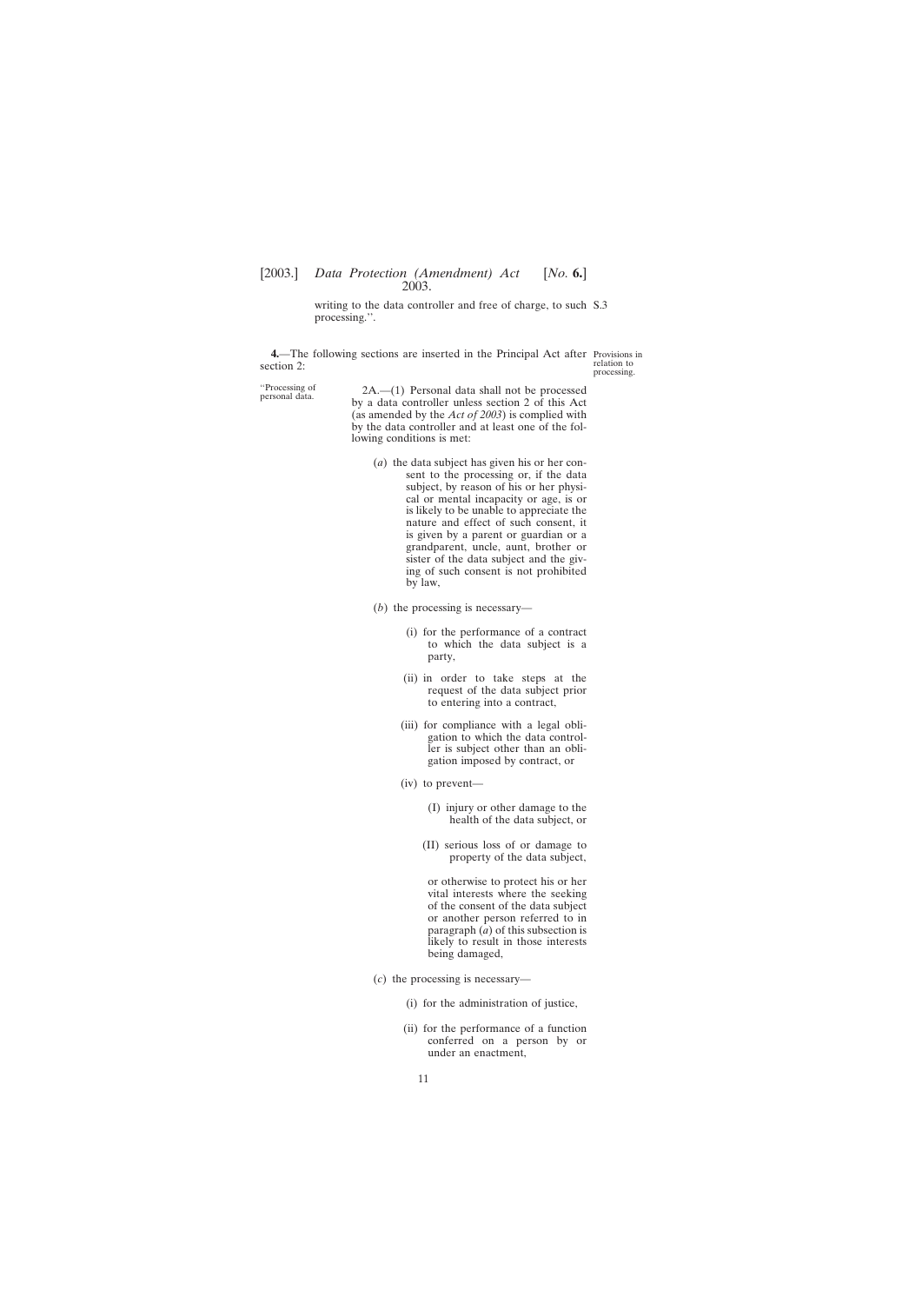writing to the data controller and free of charge, to such S.3 processing.''.

<span id="page-10-0"></span>**4.**—The following sections are inserted in the Principal Act after Provisions in section 2:

relation to processing.

''Processing of 2A.—(1) Personal data shall not be processed personal data. by a data controller unless section 2 of this Act (as amended by the *Act of 2003*) is complied with by the data controller and at least one of the following conditions is met:

- (*a*) the data subject has given his or her consent to the processing or, if the data subject, by reason of his or her physical or mental incapacity or age, is or is likely to be unable to appreciate the nature and effect of such consent, it is given by a parent or guardian or a grandparent, uncle, aunt, brother or sister of the data subject and the giving of such consent is not prohibited by law,
- (*b*) the processing is necessary—
	- (i) for the performance of a contract to which the data subject is a party,
	- (ii) in order to take steps at the request of the data subject prior to entering into a contract,
	- (iii) for compliance with a legal obligation to which the data controller is subject other than an obligation imposed by contract, or
	- (iv) to prevent—
		- (I) injury or other damage to the health of the data subject, or
		- (II) serious loss of or damage to property of the data subject,

or otherwise to protect his or her vital interests where the seeking of the consent of the data subject or another person referred to in paragraph (*a*) of this subsection is likely to result in those interests being damaged,

- (*c*) the processing is necessary—
	- (i) for the administration of justice,
	- (ii) for the performance of a function conferred on a person by or under an enactment,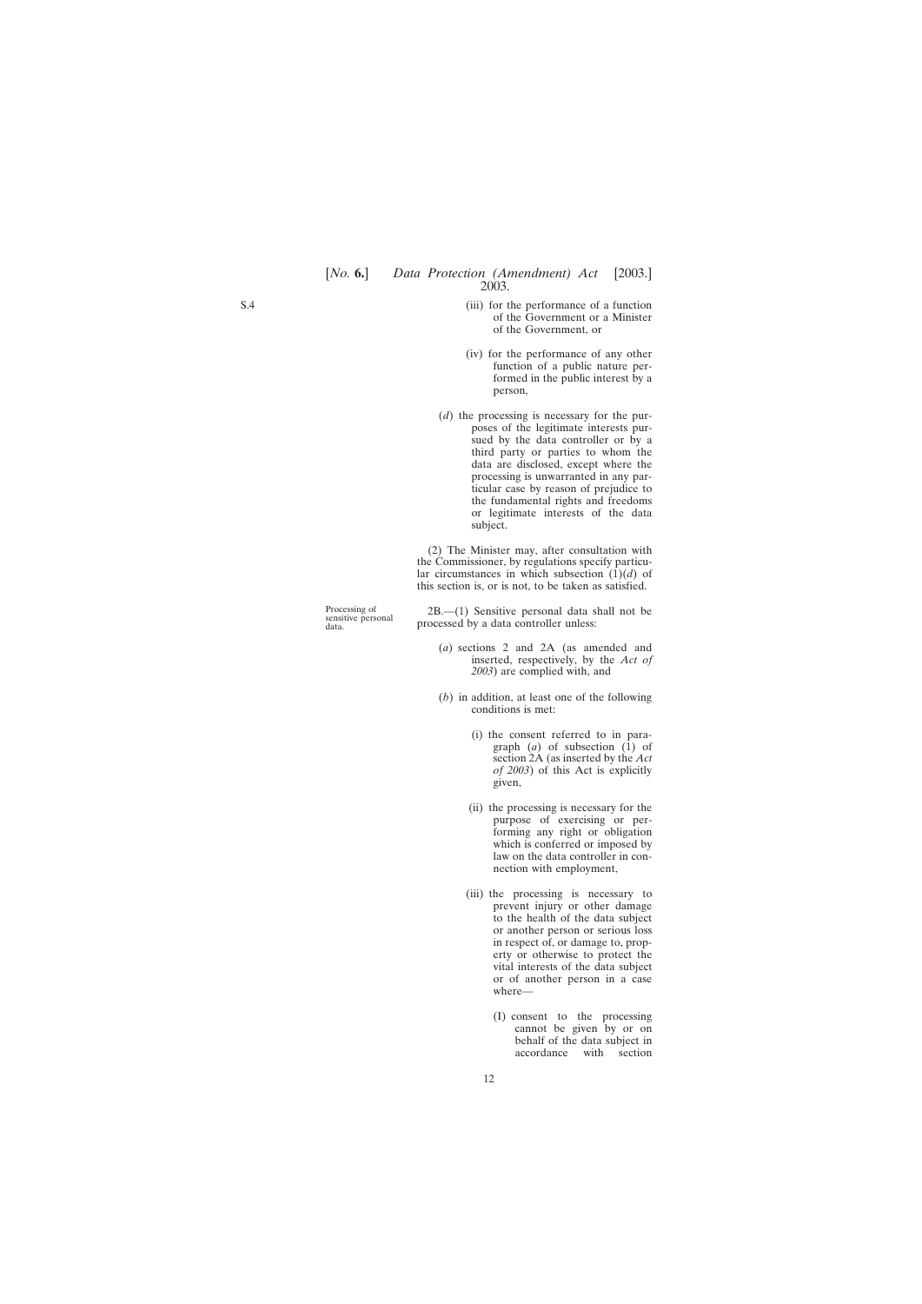- (iii) for the performance of a function of the Government or a Minister of the Government, or
- (iv) for the performance of any other function of a public nature performed in the public interest by a person,
- (*d*) the processing is necessary for the purposes of the legitimate interests pursued by the data controller or by a third party or parties to whom the data are disclosed, except where the processing is unwarranted in any particular case by reason of prejudice to the fundamental rights and freedoms or legitimate interests of the data subject.

(2) The Minister may, after consultation with the Commissioner, by regulations specify particular circumstances in which subsection  $(1)(d)$  of this section is, or is not, to be taken as satisfied.

Processing of 2B.—(1) Sensitive personal data shall not be sensitive personal data shall not be data. processed by a data controller unless:

- (*a*) sections 2 and 2A (as amended and inserted, respectively, by the *Act of 2003*) are complied with, and
- (*b*) in addition, at least one of the following conditions is met:
	- (i) the consent referred to in paragraph  $(a)$  of subsection  $(1)$  of section 2A (as inserted by the *Act of 2003*) of this Act is explicitly given,
	- (ii) the processing is necessary for the purpose of exercising or performing any right or obligation which is conferred or imposed by law on the data controller in connection with employment,
	- (iii) the processing is necessary to prevent injury or other damage to the health of the data subject or another person or serious loss in respect of, or damage to, property or otherwise to protect the vital interests of the data subject or of another person in a case where—
		- (I) consent to the processing cannot be given by or on behalf of the data subject in accordance with section

12

S.4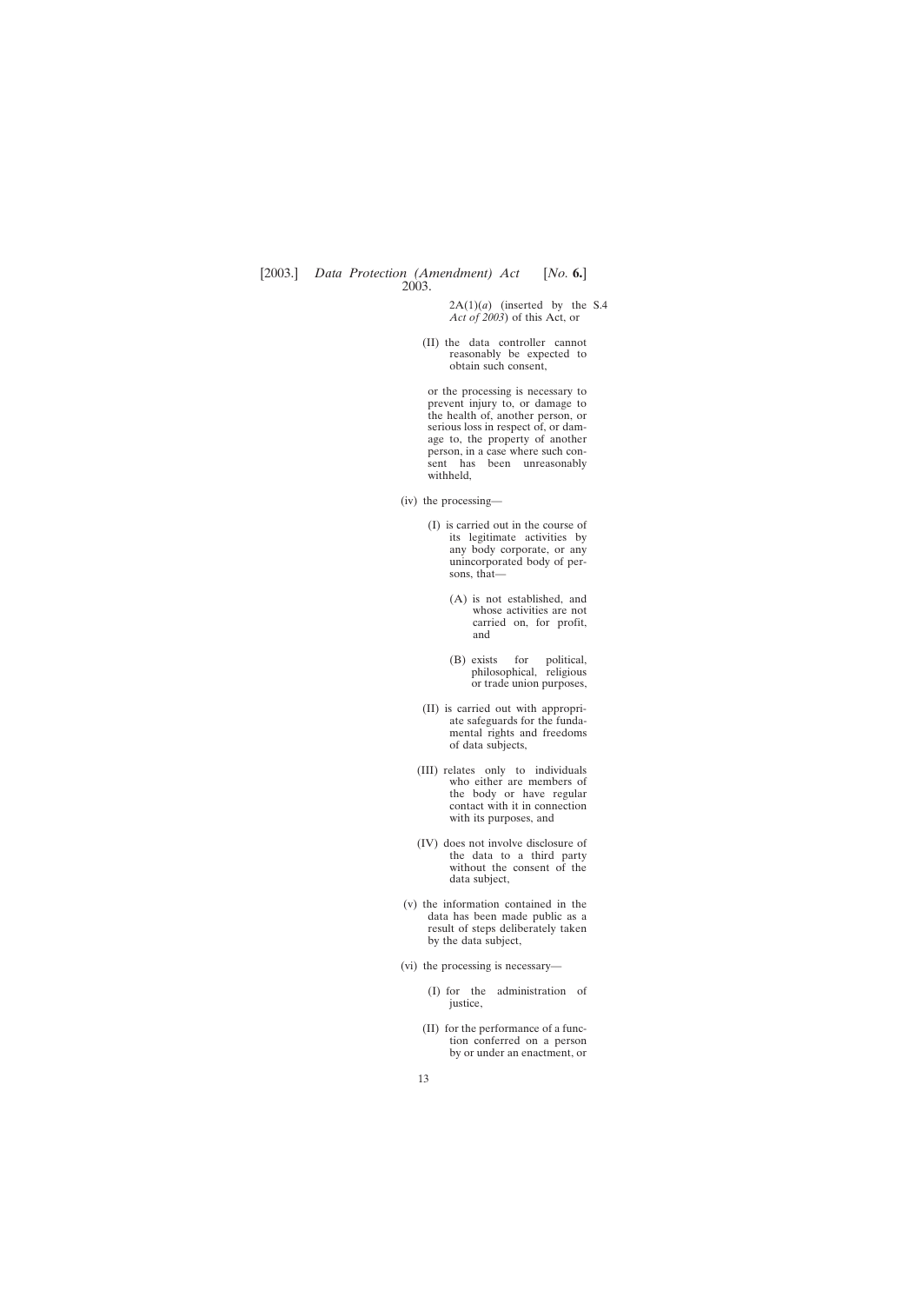$2A(1)(a)$  (inserted by the S.4 *Act of 2003*) of this Act, or

(II) the data controller cannot reasonably be expected to obtain such consent,

or the processing is necessary to prevent injury to, or damage to the health of, another person, or serious loss in respect of, or damage to, the property of another person, in a case where such consent has been unreasonably withheld,

- (iv) the processing—
	- (I) is carried out in the course of its legitimate activities by any body corporate, or any unincorporated body of persons, that—
		- (A) is not established, and whose activities are not carried on, for profit, and
		- (B) exists for political, philosophical, religious or trade union purposes,
	- (II) is carried out with appropriate safeguards for the fundamental rights and freedoms of data subjects,
	- (III) relates only to individuals who either are members of the body or have regular contact with it in connection with its purposes, and
	- (IV) does not involve disclosure of the data to a third party without the consent of the data subject,
- (v) the information contained in the data has been made public as a result of steps deliberately taken by the data subject,
- (vi) the processing is necessary—
	- (I) for the administration of justice,
	- (II) for the performance of a function conferred on a person by or under an enactment, or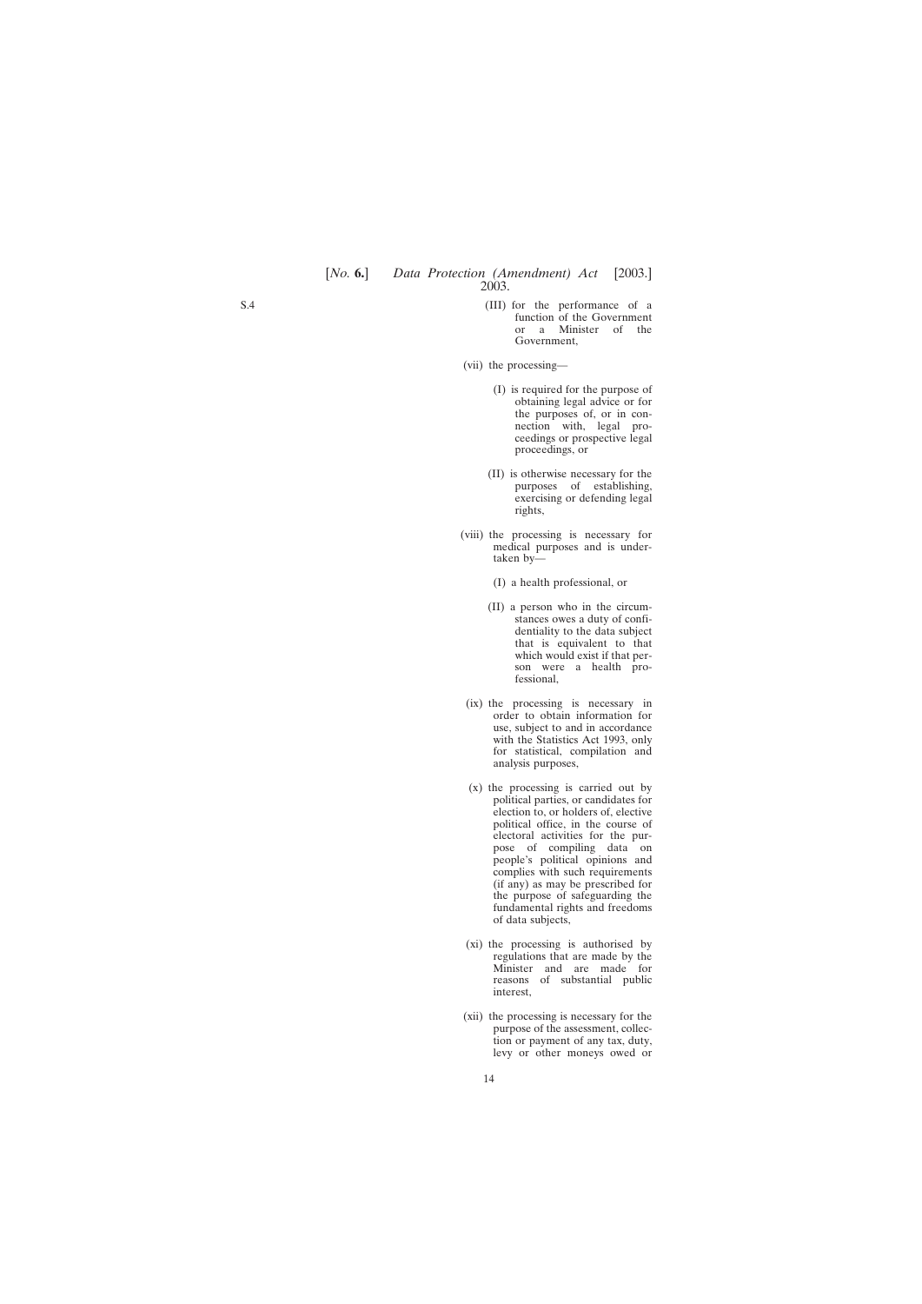- (III) for the performance of a function of the Government or a Minister of the Government,
- (vii) the processing—
	- (I) is required for the purpose of obtaining legal advice or for the purposes of, or in connection with, legal proceedings or prospective legal proceedings, or
	- (II) is otherwise necessary for the purposes of establishing, exercising or defending legal rights,
- (viii) the processing is necessary for medical purposes and is undertaken by—
	- (I) a health professional, or
	- (II) a person who in the circumstances owes a duty of confidentiality to the data subject that is equivalent to that which would exist if that person were a health professional,
- (ix) the processing is necessary in order to obtain information for use, subject to and in accordance with the Statistics Act 1993, only for statistical, compilation and analysis purposes,
- (x) the processing is carried out by political parties, or candidates for election to, or holders of, elective political office, in the course of electoral activities for the purpose of compiling data on people's political opinions and complies with such requirements (if any) as may be prescribed for the purpose of safeguarding the fundamental rights and freedoms of data subjects,
- (xi) the processing is authorised by regulations that are made by the Minister and are made for reasons of substantial public interest,
- (xii) the processing is necessary for the purpose of the assessment, collection or payment of any tax, duty, levy or other moneys owed or

S.4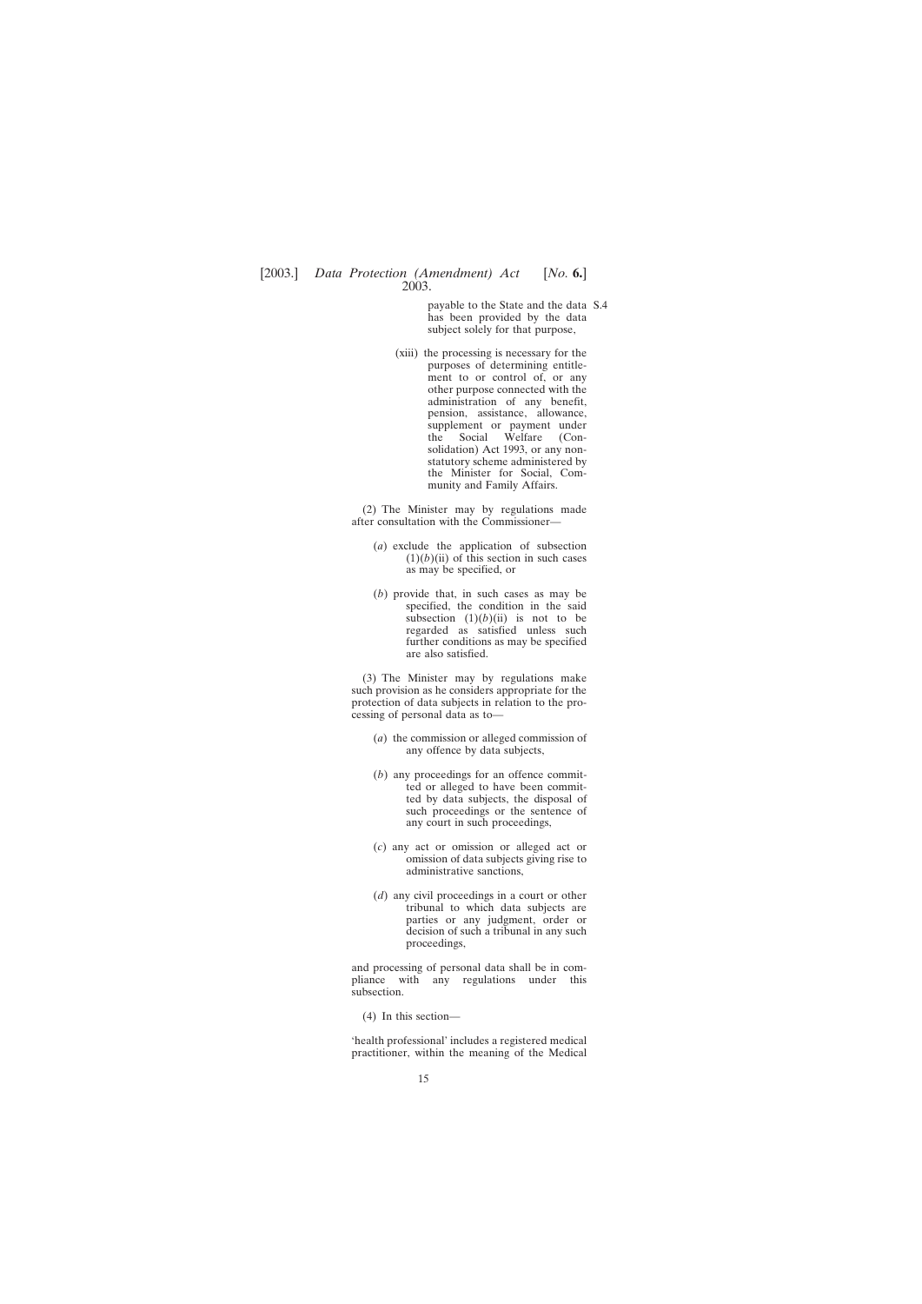payable to the State and the data S.4has been provided by the data subject solely for that purpose,

(xiii) the processing is necessary for the purposes of determining entitlement to or control of, or any other purpose connected with the administration of any benefit, pension, assistance, allowance, supplement or payment under the Social Welfare (Consolidation) Act 1993, or any nonstatutory scheme administered by the Minister for Social, Community and Family Affairs.

(2) The Minister may by regulations made after consultation with the Commissioner—

- (*a*) exclude the application of subsection  $(1)(b)(ii)$  of this section in such cases as may be specified, or
- (*b*) provide that, in such cases as may be specified, the condition in the said subsection  $(1)(b)(ii)$  is not to be regarded as satisfied unless such further conditions as may be specified are also satisfied.

(3) The Minister may by regulations make such provision as he considers appropriate for the protection of data subjects in relation to the processing of personal data as to—

- (*a*) the commission or alleged commission of any offence by data subjects,
- (*b*) any proceedings for an offence committed or alleged to have been committed by data subjects, the disposal of such proceedings or the sentence of any court in such proceedings,
- (*c*) any act or omission or alleged act or omission of data subjects giving rise to administrative sanctions,
- (*d*) any civil proceedings in a court or other tribunal to which data subjects are parties or any judgment, order or decision of such a tribunal in any such proceedings,

and processing of personal data shall be in compliance with any regulations under this subsection.

(4) In this section—

'health professional' includes a registered medical practitioner, within the meaning of the Medical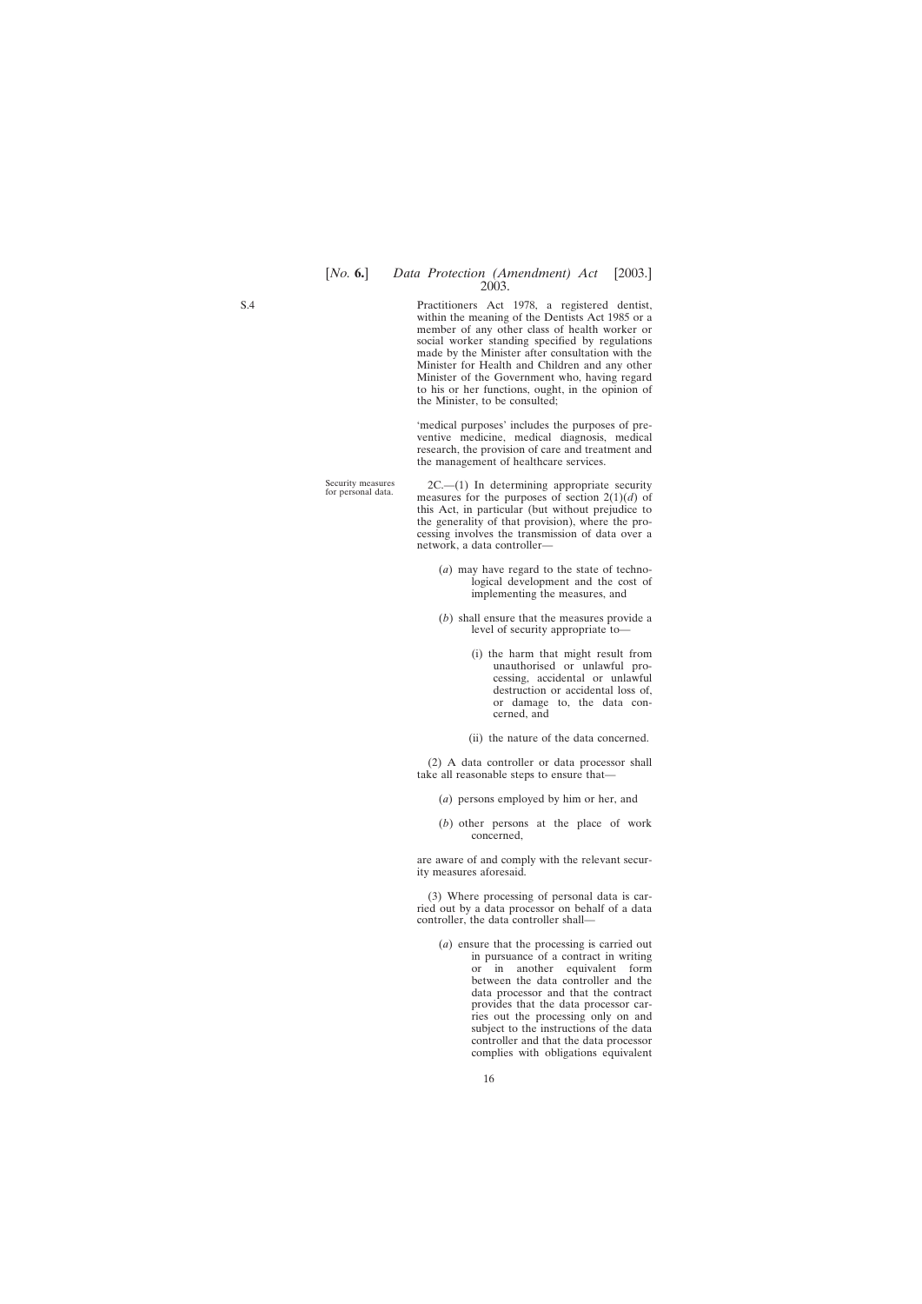Practitioners Act 1978, a registered dentist, within the meaning of the Dentists Act 1985 or a member of any other class of health worker or social worker standing specified by regulations made by the Minister after consultation with the Minister for Health and Children and any other Minister of the Government who, having regard to his or her functions, ought, in the opinion of the Minister, to be consulted;

'medical purposes' includes the purposes of preventive medicine, medical diagnosis, medical research, the provision of care and treatment and the management of healthcare services.

Security measures 2C.—(1) In determining appropriate security for personal data. measures for the purposes of section 2(1)(*d*) of this Act, in particular (but without prejudice to the generality of that provision), where the processing involves the transmission of data over a network, a data controller—

- (*a*) may have regard to the state of technological development and the cost of implementing the measures, and
- (*b*) shall ensure that the measures provide a level of security appropriate to—
	- (i) the harm that might result from unauthorised or unlawful processing, accidental or unlawful destruction or accidental loss of, or damage to, the data concerned, and
	- (ii) the nature of the data concerned.

(2) A data controller or data processor shall take all reasonable steps to ensure that—

- (*a*) persons employed by him or her, and
- (*b*) other persons at the place of work concerned,

are aware of and comply with the relevant security measures aforesaid.

(3) Where processing of personal data is carried out by a data processor on behalf of a data controller, the data controller shall—

(*a*) ensure that the processing is carried out in pursuance of a contract in writing or in another equivalent form between the data controller and the data processor and that the contract provides that the data processor carries out the processing only on and subject to the instructions of the data controller and that the data processor complies with obligations equivalent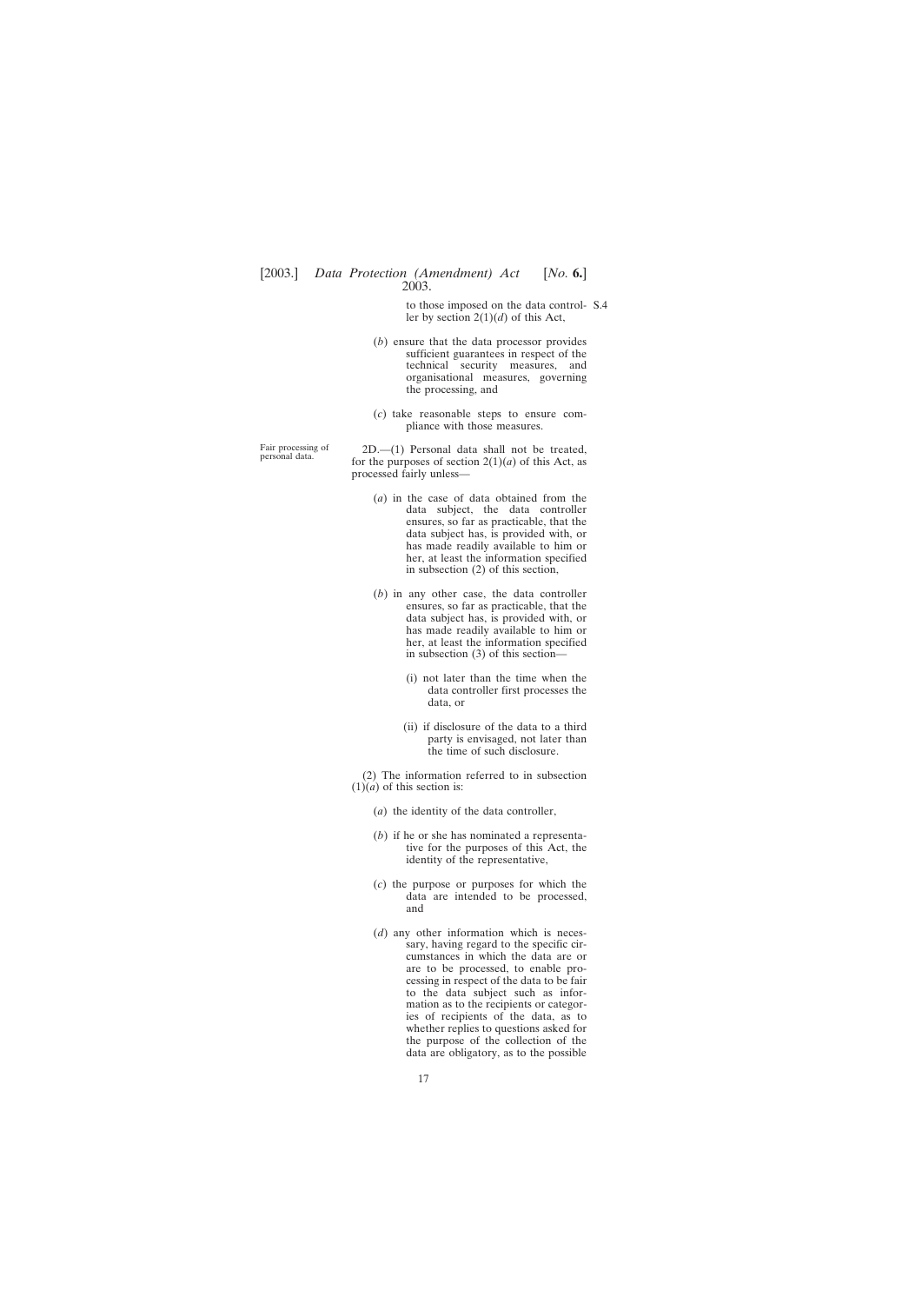to those imposed on the data control-S.4ler by section 2(1)(*d*) of this Act,

- (*b*) ensure that the data processor provides sufficient guarantees in respect of the technical security measures, and organisational measures, governing the processing, and
- (*c*) take reasonable steps to ensure compliance with those measures.

Fair processing of 2D.—(1) Personal data shall not be treated, for the purposes of section  $2(1)(a)$  of this Act, as processed fairly unless—

- (*a*) in the case of data obtained from the data subject, the data controller ensures, so far as practicable, that the data subject has, is provided with, or has made readily available to him or her, at least the information specified in subsection (2) of this section,
- (*b*) in any other case, the data controller ensures, so far as practicable, that the data subject has, is provided with, or has made readily available to him or her, at least the information specified in subsection (3) of this section—
	- (i) not later than the time when the data controller first processes the data, or
	- (ii) if disclosure of the data to a third party is envisaged, not later than the time of such disclosure.

(2) The information referred to in subsection  $(1)(a)$  of this section is:

- (*a*) the identity of the data controller,
- (*b*) if he or she has nominated a representative for the purposes of this Act, the identity of the representative,
- (*c*) the purpose or purposes for which the data are intended to be processed, and
- (*d*) any other information which is necessary, having regard to the specific circumstances in which the data are or are to be processed, to enable processing in respect of the data to be fair to the data subject such as information as to the recipients or categories of recipients of the data, as to whether replies to questions asked for the purpose of the collection of the data are obligatory, as to the possible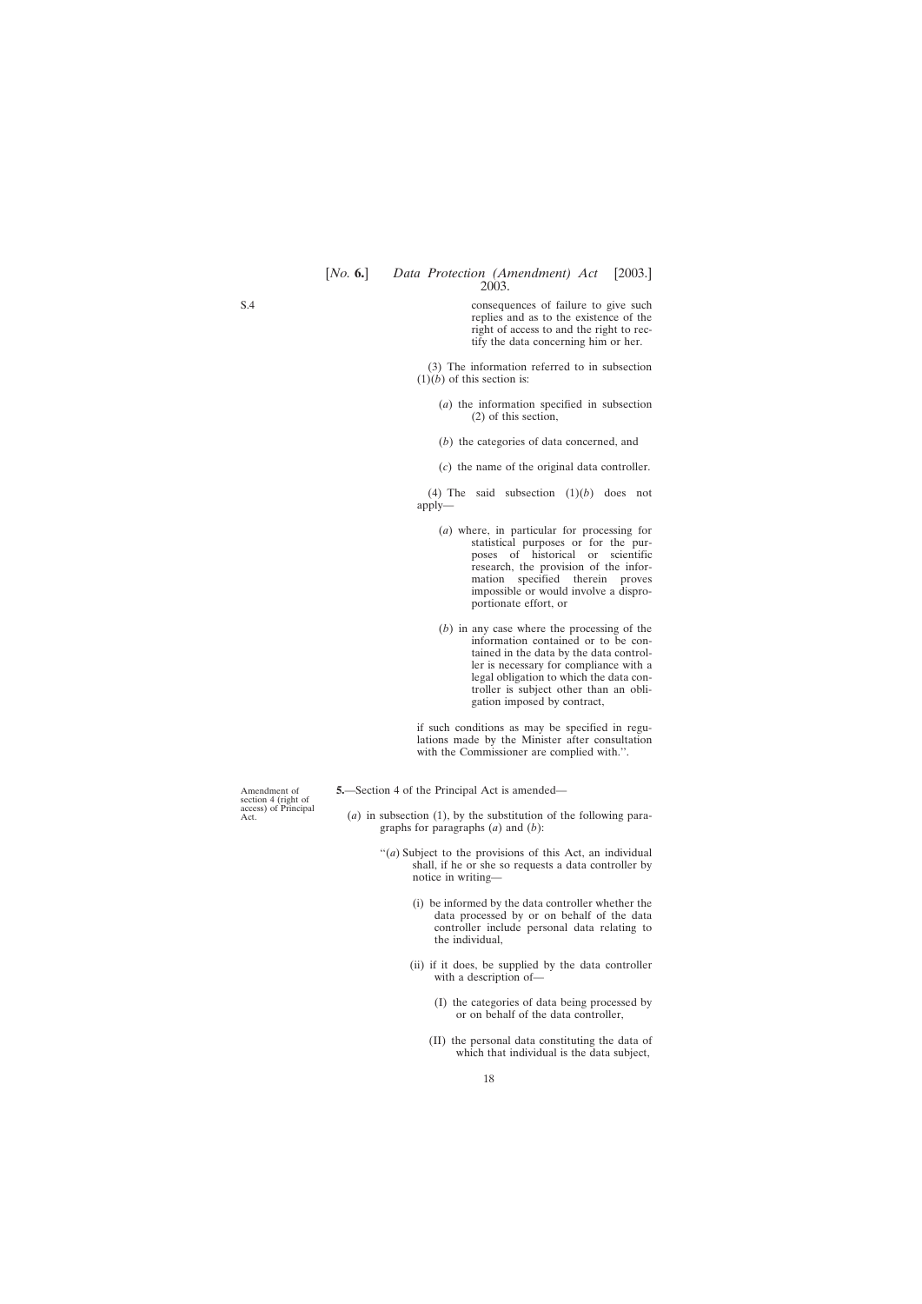consequences of failure to give such replies and as to the existence of the right of access to and the right to rectify the data concerning him or her.

(3) The information referred to in subsection  $(1)(b)$  of this section is:

- (*a*) the information specified in subsection (2) of this section,
- (*b*) the categories of data concerned, and
- (*c*) the name of the original data controller.

(4) The said subsection (1)(*b*) does not apply—

- (*a*) where, in particular for processing for statistical purposes or for the purposes of historical or scientific research, the provision of the information specified therein proves impossible or would involve a disproportionate effort, or
- (*b*) in any case where the processing of the information contained or to be contained in the data by the data controller is necessary for compliance with a legal obligation to which the data controller is subject other than an obligation imposed by contract,

if such conditions as may be specified in regulations made by the Minister after consultation with the Commissioner are complied with.''.

**5.**—Section 4 of the Principal Act is amended—

- (*a*) in subsection (1), by the substitution of the following paragraphs for paragraphs (*a*) and (*b*):
	- "(*a*) Subject to the provisions of this Act, an individual shall, if he or she so requests a data controller by notice in writing—
		- (i) be informed by the data controller whether the data processed by or on behalf of the data controller include personal data relating to the individual,
		- (ii) if it does, be supplied by the data controller with a description of—
			- (I) the categories of data being processed by or on behalf of the data controller,
			- (II) the personal data constituting the data of which that individual is the data subject,

Amendment of section 4 (right of access) of Principal Act.

<span id="page-17-0"></span>S.4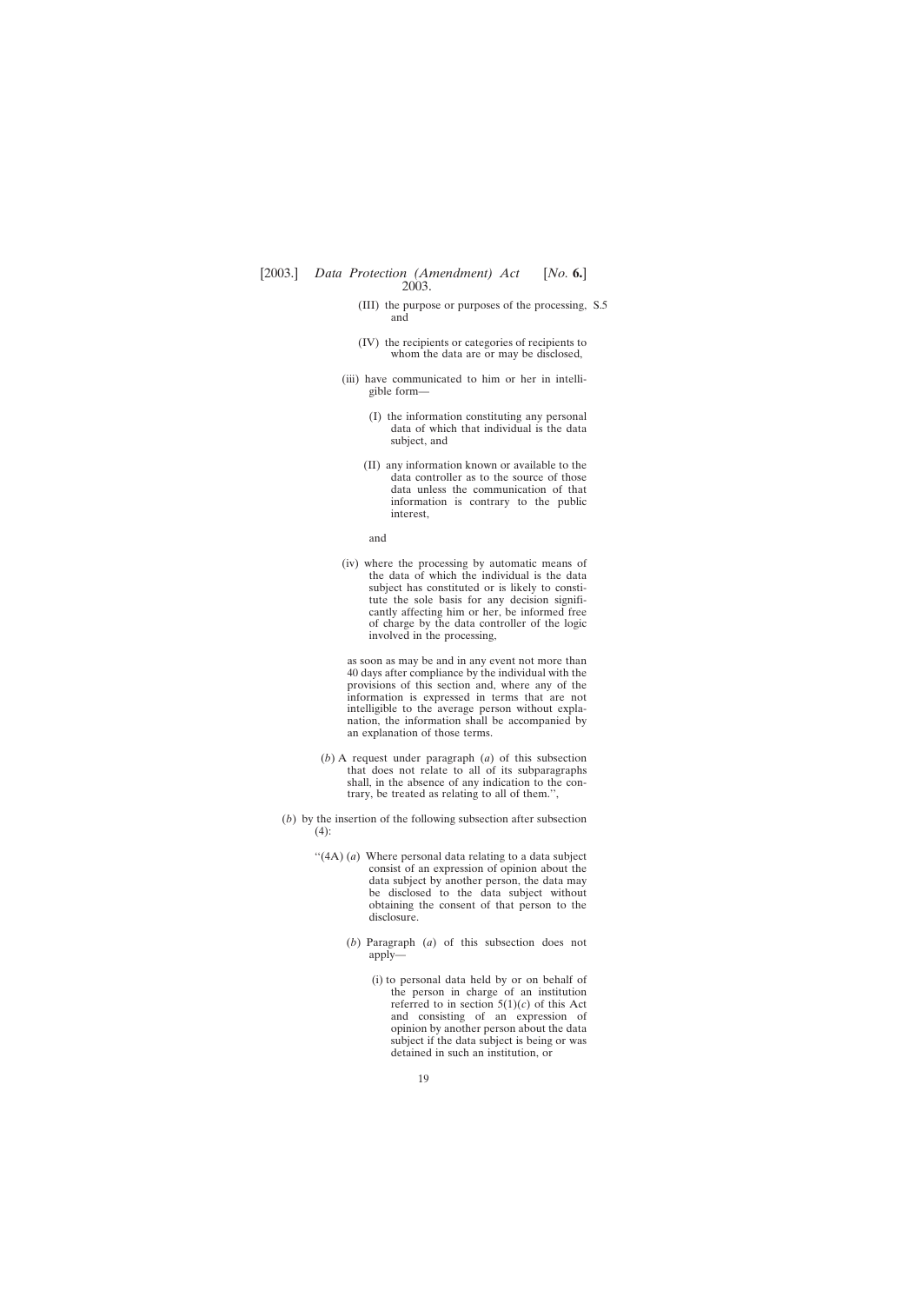- (III) the purpose or purposes of the processing, S.5and
- (IV) the recipients or categories of recipients to whom the data are or may be disclosed,
- (iii) have communicated to him or her in intelligible form—
	- (I) the information constituting any personal data of which that individual is the data subject, and
	- (II) any information known or available to the data controller as to the source of those data unless the communication of that information is contrary to the public interest,

and

(iv) where the processing by automatic means of the data of which the individual is the data subject has constituted or is likely to constitute the sole basis for any decision significantly affecting him or her, be informed free of charge by the data controller of the logic involved in the processing,

as soon as may be and in any event not more than 40 days after compliance by the individual with the provisions of this section and, where any of the information is expressed in terms that are not intelligible to the average person without explanation, the information shall be accompanied by an explanation of those terms.

- (*b*) A request under paragraph (*a*) of this subsection that does not relate to all of its subparagraphs shall, in the absence of any indication to the contrary, be treated as relating to all of them.'',
- (*b*) by the insertion of the following subsection after subsection (4):
	- "(4A) (*a*) Where personal data relating to a data subject consist of an expression of opinion about the data subject by another person, the data may be disclosed to the data subject without obtaining the consent of that person to the disclosure.
		- (*b*) Paragraph (*a*) of this subsection does not apply—
			- (i) to personal data held by or on behalf of the person in charge of an institution referred to in section  $5(1)(c)$  of this Act and consisting of an expression of opinion by another person about the data subject if the data subject is being or was detained in such an institution, or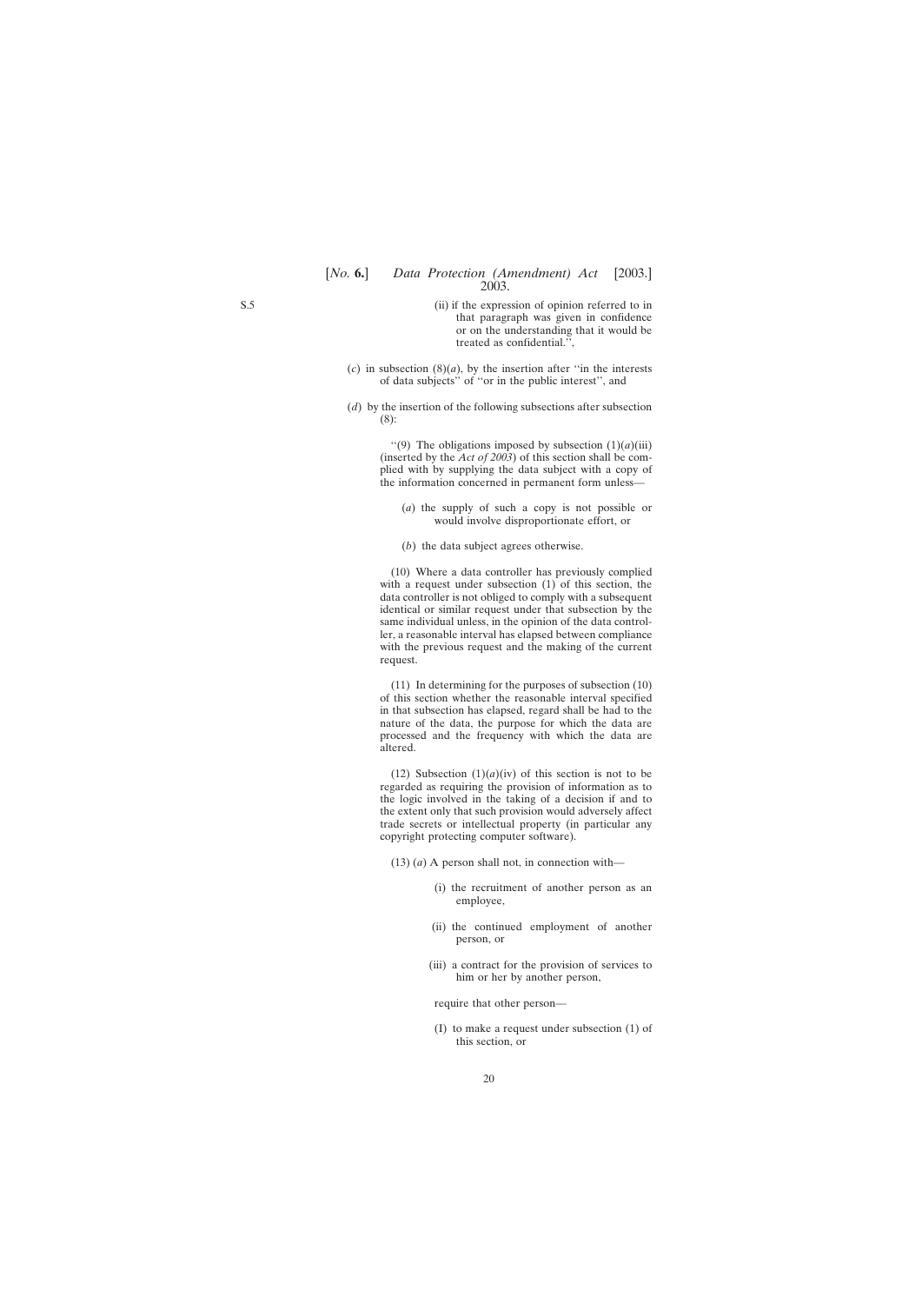- (ii) if the expression of opinion referred to in that paragraph was given in confidence or on the understanding that it would be treated as confidential.'',
- $(c)$  in subsection  $(8)(a)$ , by the insertion after "in the interests" of data subjects'' of ''or in the public interest'', and
- (*d*) by the insertion of the following subsections after subsection (8):

"(9) The obligations imposed by subsection  $(1)(a)(iii)$ (inserted by the *Act of 2003*) of this section shall be complied with by supplying the data subject with a copy of the information concerned in permanent form unless—

- (*a*) the supply of such a copy is not possible or would involve disproportionate effort, or
- (*b*) the data subject agrees otherwise.

(10) Where a data controller has previously complied with a request under subsection (1) of this section, the data controller is not obliged to comply with a subsequent identical or similar request under that subsection by the same individual unless, in the opinion of the data controller, a reasonable interval has elapsed between compliance with the previous request and the making of the current request.

(11) In determining for the purposes of subsection (10) of this section whether the reasonable interval specified in that subsection has elapsed, regard shall be had to the nature of the data, the purpose for which the data are processed and the frequency with which the data are altered.

(12) Subsection  $(1)(a)(iv)$  of this section is not to be regarded as requiring the provision of information as to the logic involved in the taking of a decision if and to the extent only that such provision would adversely affect trade secrets or intellectual property (in particular any copyright protecting computer software).

- (13) (*a*) A person shall not, in connection with—
	- (i) the recruitment of another person as an employee,
	- (ii) the continued employment of another person, or
	- (iii) a contract for the provision of services to him or her by another person,

require that other person—

(I) to make a request under subsection (1) of this section, or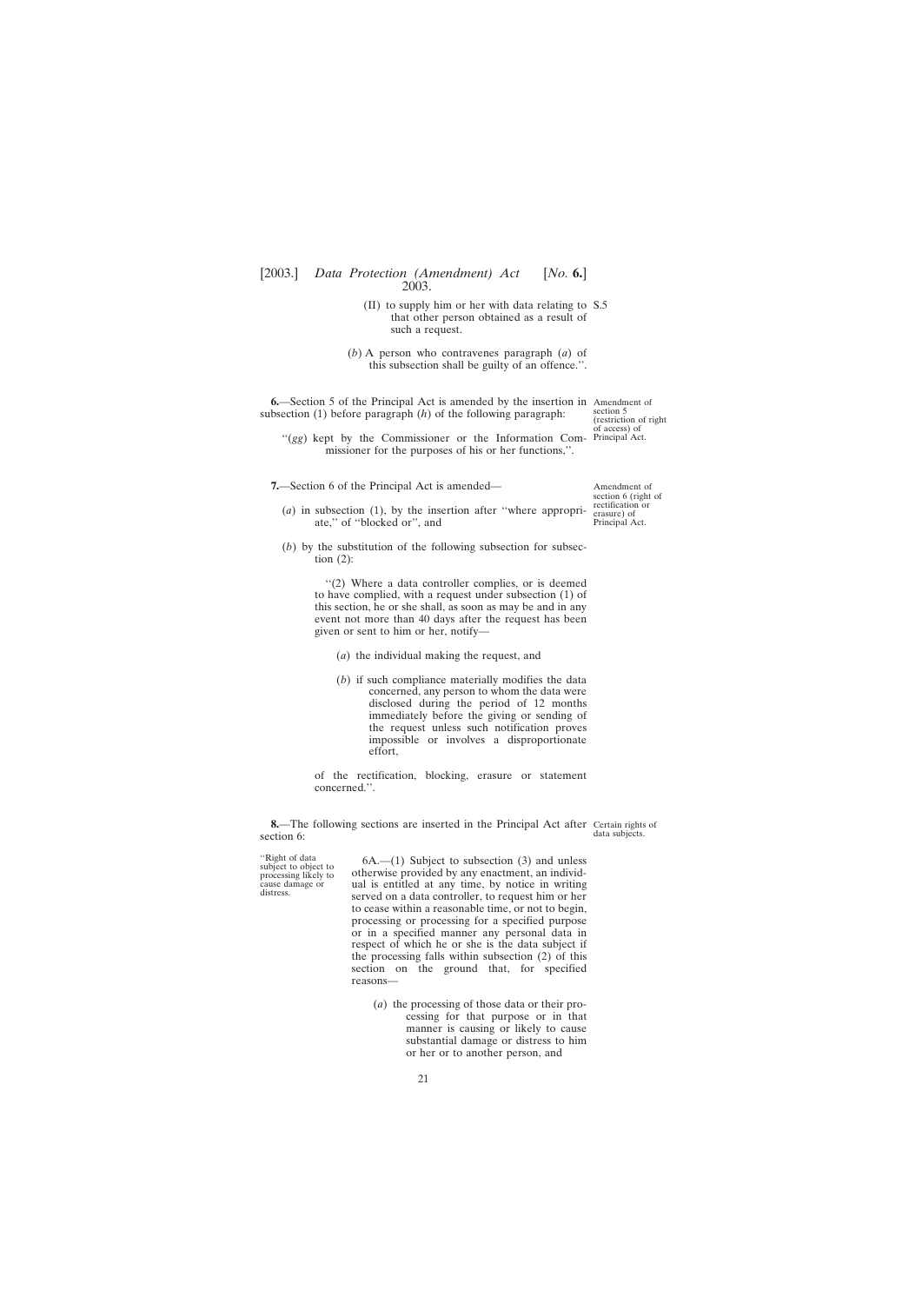- (II) to supply him or her with data relating to S.5 that other person obtained as a result of such a request.
- (*b*) A person who contravenes paragraph (*a*) of this subsection shall be guilty of an offence.''.

<span id="page-20-0"></span>**6.**—Section 5 of the Principal Act is amended by the insertion in Amendment of subsection (1) before paragraph (*h*) of the following paragraph:

section 5 (restriction of right

"(gg) kept by the Commissioner or the Information Com- Principal Act." missioner for the purposes of his or her functions,''.

**7.**—Section 6 of the Principal Act is amended—

Amendment of section 6 (right of rectification or erasure) of Principal Act.

- (*a*) in subsection (1), by the insertion after ''where appropriate,'' of ''blocked or'', and
- (*b*) by the substitution of the following subsection for subsection  $(2)$ :

''(2) Where a data controller complies, or is deemed to have complied, with a request under subsection (1) of this section, he or she shall, as soon as may be and in any event not more than 40 days after the request has been given or sent to him or her, notify—

- (*a*) the individual making the request, and
- (*b*) if such compliance materially modifies the data concerned, any person to whom the data were disclosed during the period of 12 months immediately before the giving or sending of the request unless such notification proves impossible or involves a disproportionate effort,

of the rectification, blocking, erasure or statement concerned.''.

**8.**—The following sections are inserted in the Principal Act after Certain rights of section 6:

data subjects.

"Right of data  $6A$ .—(1) Subject to subsection (3) and unless subject to object to otherwise provided by any enactment, an individsubject to object to otherwise provided by any enactment, an individ-<br>cause damage or and is entitled at any time, by notice in writing distress. served on a data controller, to request him or her to cease within a reasonable time, or not to begin, processing or processing for a specified purpose or in a specified manner any personal data in respect of which he or she is the data subject if the processing falls within subsection (2) of this section on the ground that, for specified reasons—

> (*a*) the processing of those data or their processing for that purpose or in that manner is causing or likely to cause substantial damage or distress to him or her or to another person, and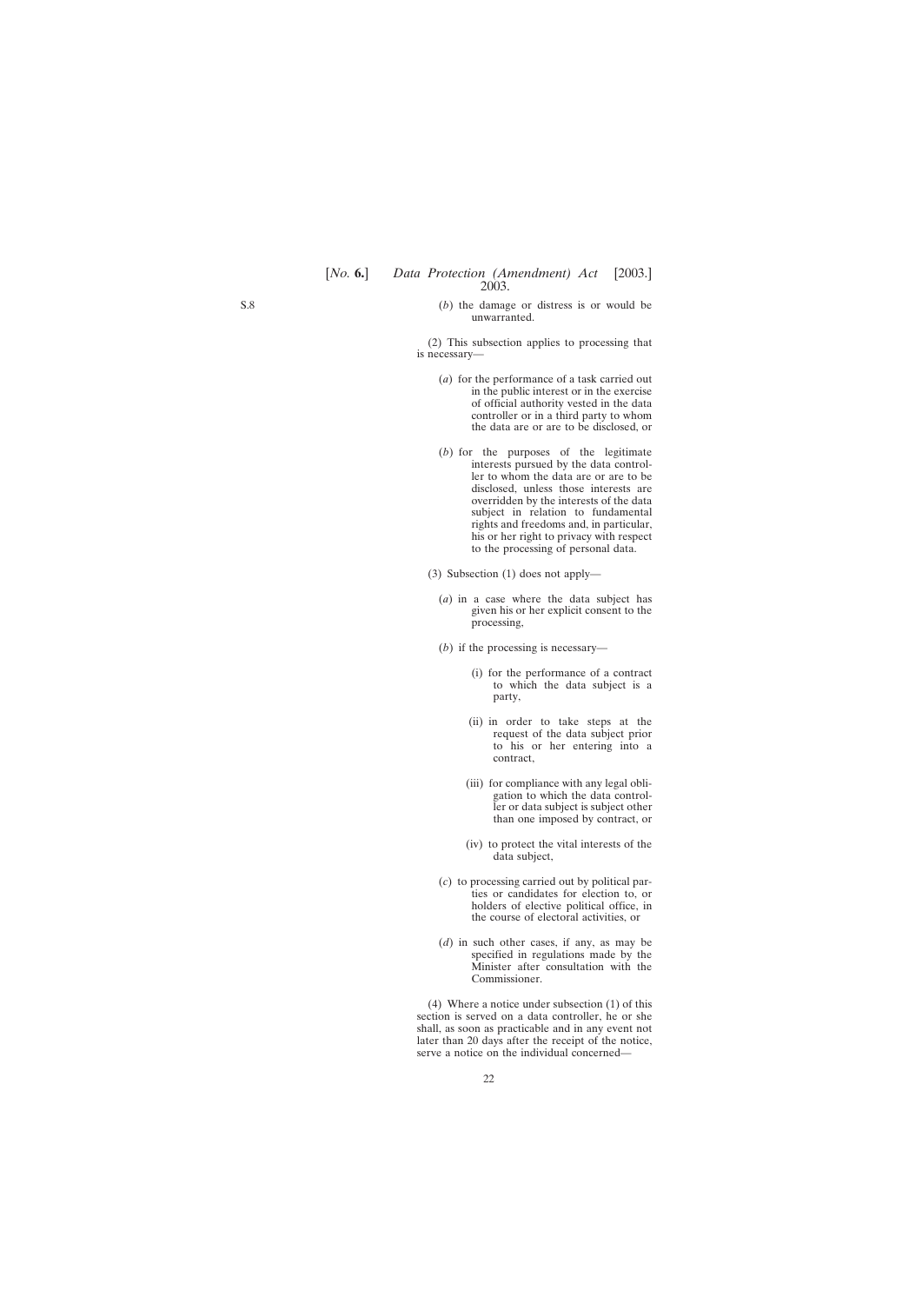(*b*) the damage or distress is or would be unwarranted.

(2) This subsection applies to processing that is necessary—

- (*a*) for the performance of a task carried out in the public interest or in the exercise of official authority vested in the data controller or in a third party to whom the data are or are to be disclosed, or
- (*b*) for the purposes of the legitimate interests pursued by the data controller to whom the data are or are to be disclosed, unless those interests are overridden by the interests of the data subject in relation to fundamental rights and freedoms and, in particular, his or her right to privacy with respect to the processing of personal data.
- (3) Subsection (1) does not apply—
	- (*a*) in a case where the data subject has given his or her explicit consent to the processing,
	- (*b*) if the processing is necessary—
		- (i) for the performance of a contract to which the data subject is a party,
		- (ii) in order to take steps at the request of the data subject prior to his or her entering into a contract,
		- (iii) for compliance with any legal obligation to which the data controller or data subject is subject other than one imposed by contract, or
		- (iv) to protect the vital interests of the data subject,
	- (*c*) to processing carried out by political parties or candidates for election to, or holders of elective political office, in the course of electoral activities, or
	- (*d*) in such other cases, if any, as may be specified in regulations made by the Minister after consultation with the Commissioner.

(4) Where a notice under subsection (1) of this section is served on a data controller, he or she shall, as soon as practicable and in any event not later than 20 days after the receipt of the notice, serve a notice on the individual concerned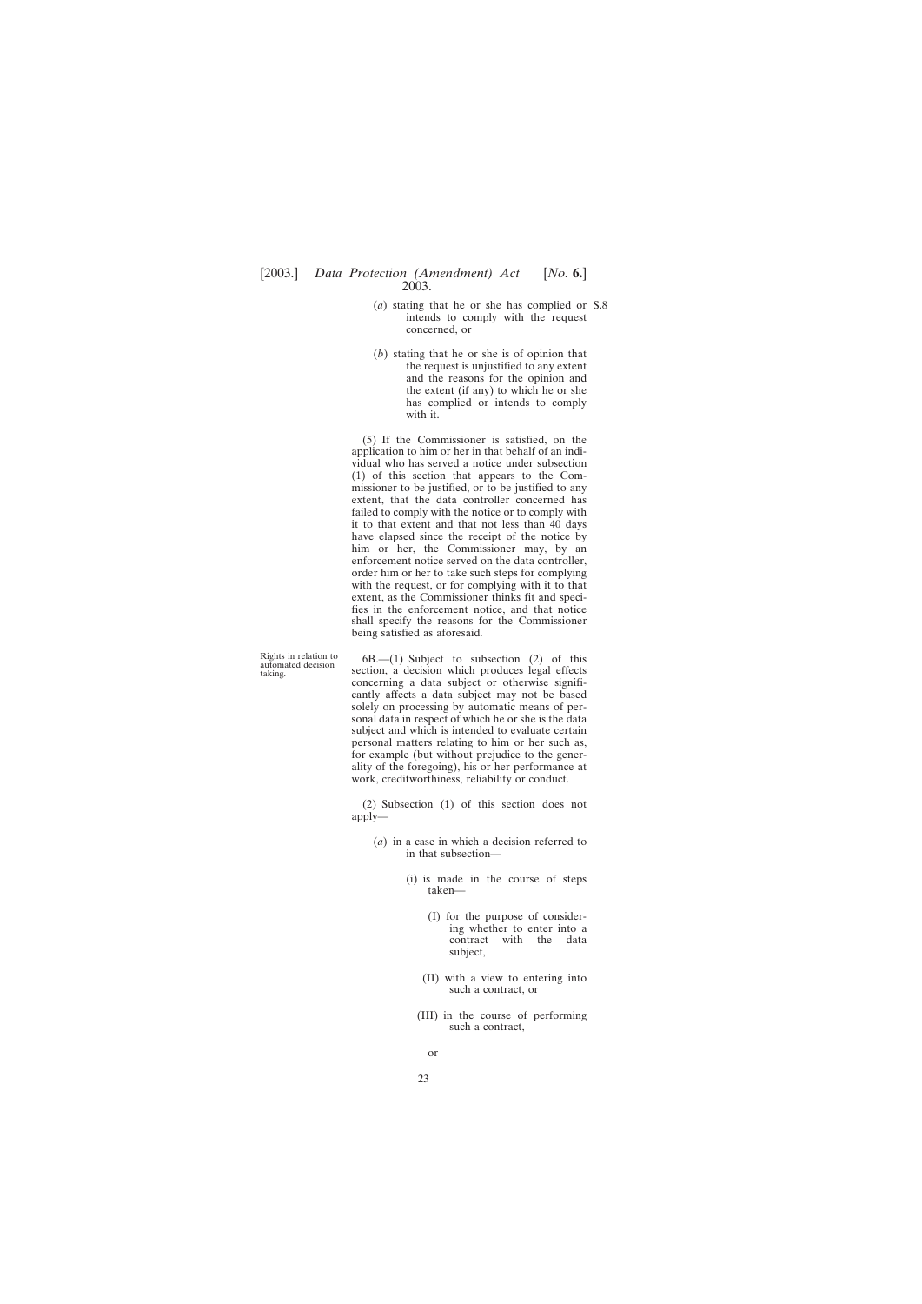(*a*) stating that he or she has complied or S.8intends to comply with the request concerned, or

(*b*) stating that he or she is of opinion that the request is unjustified to any extent and the reasons for the opinion and the extent (if any) to which he or she has complied or intends to comply with it.

(5) If the Commissioner is satisfied, on the application to him or her in that behalf of an individual who has served a notice under subsection (1) of this section that appears to the Commissioner to be justified, or to be justified to any extent, that the data controller concerned has failed to comply with the notice or to comply with it to that extent and that not less than 40 days have elapsed since the receipt of the notice by him or her, the Commissioner may, by an enforcement notice served on the data controller, order him or her to take such steps for complying with the request, or for complying with it to that extent, as the Commissioner thinks fit and specifies in the enforcement notice, and that notice shall specify the reasons for the Commissioner being satisfied as aforesaid.

Rights in relation to  $6B$ .—(1) Subject to subsection (2) of this automated decision section, a decision which produces legal effects concerning a data subject or otherwise significantly affects a data subject may not be based solely on processing by automatic means of personal data in respect of which he or she is the data subject and which is intended to evaluate certain personal matters relating to him or her such as, for example (but without prejudice to the generality of the foregoing), his or her performance at work, creditworthiness, reliability or conduct.

> (2) Subsection (1) of this section does not apply—

- (*a*) in a case in which a decision referred to in that subsection—
	- (i) is made in the course of steps taken—
		- (I) for the purpose of considering whether to enter into a contract with the data subject,
		- (II) with a view to entering into such a contract, or
		- (III) in the course of performing such a contract,

or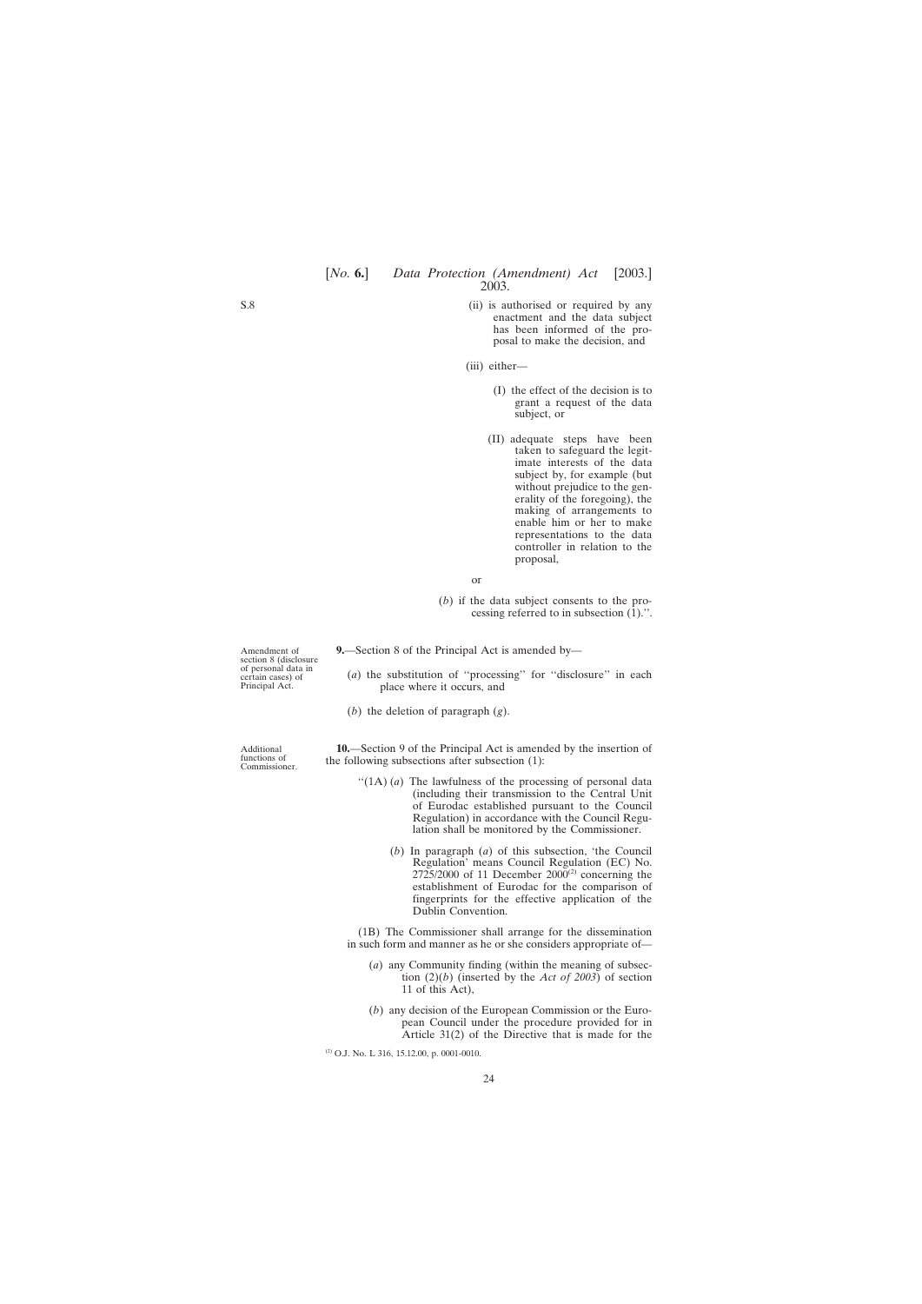- <span id="page-23-0"></span>(ii) is authorised or required by any enactment and the data subject has been informed of the proposal to make the decision, and
- (iii) either—
	- (I) the effect of the decision is to grant a request of the data subject, or
	- (II) adequate steps have been taken to safeguard the legitimate interests of the data subject by, for example (but without prejudice to the generality of the foregoing), the making of arrangements to enable him or her to make representations to the data controller in relation to the proposal,
- or
- (*b*) if the data subject consents to the processing referred to in subsection (1).''.

**9.**—Section 8 of the Principal Act is amended by—

- (*a*) the substitution of ''processing'' for ''disclosure'' in each place where it occurs, and
- (*b*) the deletion of paragraph (*g*).

**10.**—Section 9 of the Principal Act is amended by the insertion of the following subsections after subsection (1):

- "(1A) (*a*) The lawfulness of the processing of personal data (including their transmission to the Central Unit of Eurodac established pursuant to the Council Regulation) in accordance with the Council Regulation shall be monitored by the Commissioner.
	- (*b*) In paragraph (*a*) of this subsection, 'the Council Regulation' means Council Regulation (EC) No.  $2725/2000$  of 11 December  $2000^{(2)}$  concerning the establishment of Eurodac for the comparison of fingerprints for the effective application of the Dublin Convention.

(1B) The Commissioner shall arrange for the dissemination in such form and manner as he or she considers appropriate of—

- (*a*) any Community finding (within the meaning of subsection (2)(*b*) (inserted by the *Act of 2003*) of section 11 of this Act),
- (*b*) any decision of the European Commission or the European Council under the procedure provided for in Article 31(2) of the Directive that is made for the

 $(2)$  O.J. No. L 316, 15.12.00, p. 0001-0010.

Amendment of section 8 (disclosure of personal data in certain cases) of Principal Act.

Additional functions of Commissioner.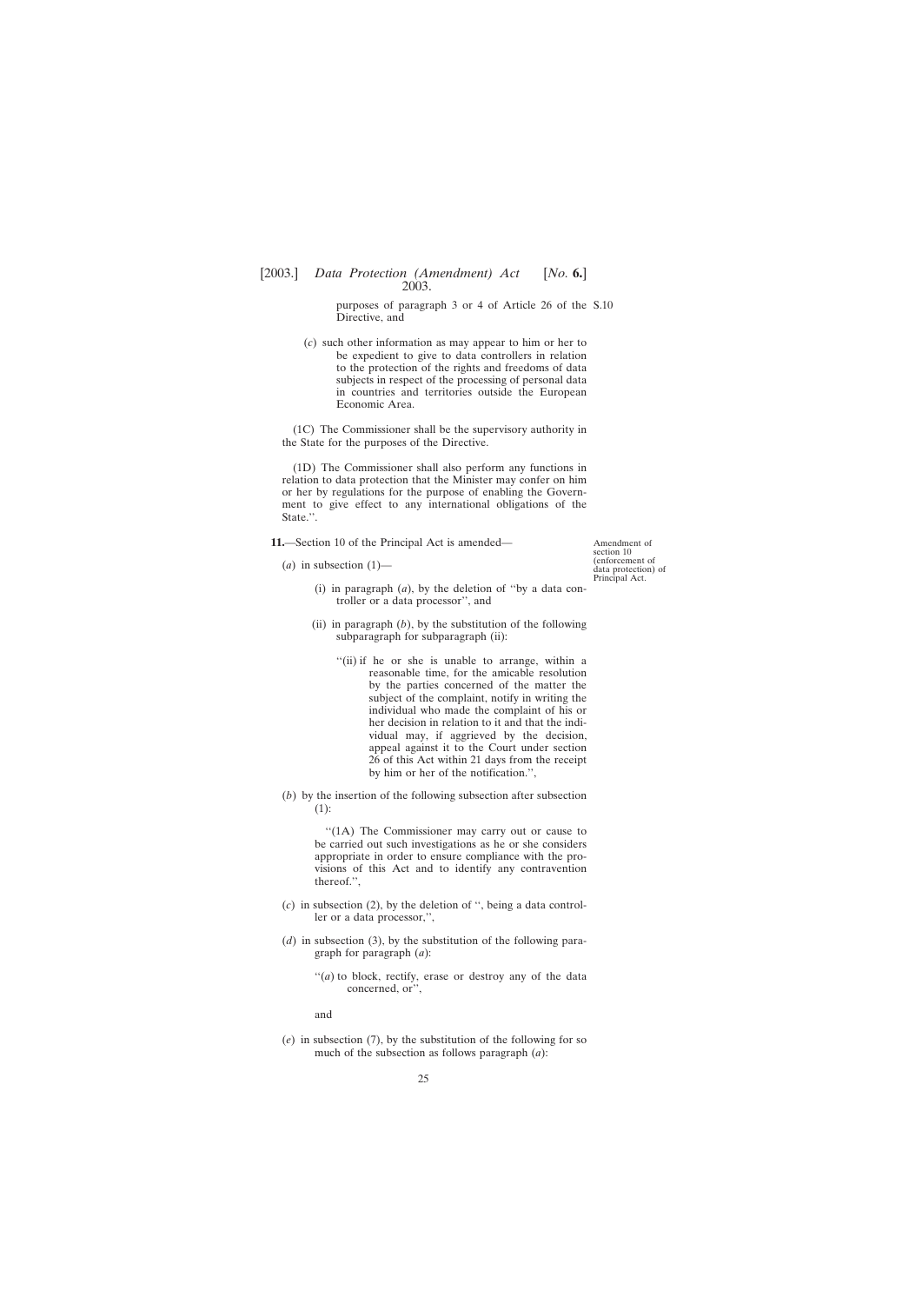purposes of paragraph 3 or 4 of Article 26 of the S.10 Directive, and

<span id="page-24-0"></span>(*c*) such other information as may appear to him or her to be expedient to give to data controllers in relation to the protection of the rights and freedoms of data subjects in respect of the processing of personal data in countries and territories outside the European Economic Area.

(1C) The Commissioner shall be the supervisory authority in the State for the purposes of the Directive.

(1D) The Commissioner shall also perform any functions in relation to data protection that the Minister may confer on him or her by regulations for the purpose of enabling the Government to give effect to any international obligations of the State.''.

**11.**—Section 10 of the Principal Act is amended—

 $(a)$  in subsection  $(1)$ —

Amendment of section 10 (enforcement of data protection) of Principal Act.

- (i) in paragraph (*a*), by the deletion of ''by a data controller or a data processor'', and
- (ii) in paragraph  $(b)$ , by the substitution of the following subparagraph for subparagraph (ii):
	- ''(ii) if he or she is unable to arrange, within a reasonable time, for the amicable resolution by the parties concerned of the matter the subject of the complaint, notify in writing the individual who made the complaint of his or her decision in relation to it and that the individual may, if aggrieved by the decision, appeal against it to the Court under section 26 of this Act within 21 days from the receipt by him or her of the notification.'',
- (*b*) by the insertion of the following subsection after subsection (1):

"(1A) The Commissioner may carry out or cause to be carried out such investigations as he or she considers appropriate in order to ensure compliance with the provisions of this Act and to identify any contravention thereof.'',

- (*c*) in subsection (2), by the deletion of '', being a data controller or a data processor,'',
- (*d*) in subsection (3), by the substitution of the following paragraph for paragraph (*a*):
	- "(*a*) to block, rectify, erase or destroy any of the data concerned, or'',

and

(*e*) in subsection (7), by the substitution of the following for so much of the subsection as follows paragraph (*a*):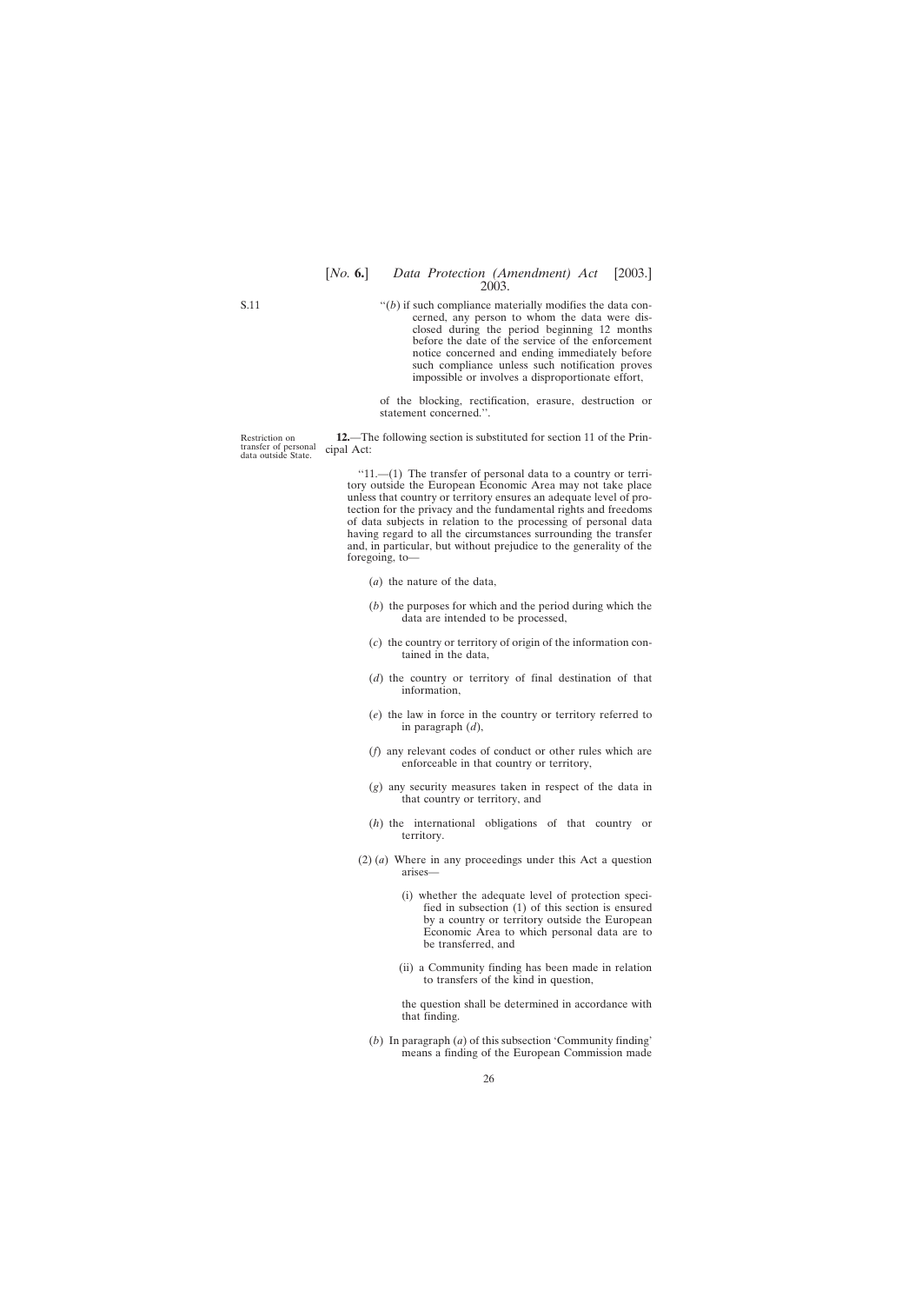<span id="page-25-0"></span>S.11

 $f'(b)$  if such compliance materially modifies the data concerned, any person to whom the data were disclosed during the period beginning 12 months before the date of the service of the enforcement notice concerned and ending immediately before such compliance unless such notification proves impossible or involves a disproportionate effort,

of the blocking, rectification, erasure, destruction or statement concerned.''.

Restriction on transfer of personal data outside State.

**12.**—The following section is substituted for section 11 of the Principal Act:

 $"11.$ —(1) The transfer of personal data to a country or territory outside the European Economic Area may not take place unless that country or territory ensures an adequate level of protection for the privacy and the fundamental rights and freedoms of data subjects in relation to the processing of personal data having regard to all the circumstances surrounding the transfer and, in particular, but without prejudice to the generality of the foregoing, to—

- (*a*) the nature of the data,
- (*b*) the purposes for which and the period during which the data are intended to be processed,
- (*c*) the country or territory of origin of the information contained in the data,
- (*d*) the country or territory of final destination of that information,
- (*e*) the law in force in the country or territory referred to in paragraph (*d*),
- (*f*) any relevant codes of conduct or other rules which are enforceable in that country or territory,
- (*g*) any security measures taken in respect of the data in that country or territory, and
- (*h*) the international obligations of that country or territory.
- (2) (*a*) Where in any proceedings under this Act a question arises—
	- (i) whether the adequate level of protection specified in subsection (1) of this section is ensured by a country or territory outside the European Economic Area to which personal data are to be transferred, and
	- (ii) a Community finding has been made in relation to transfers of the kind in question,

the question shall be determined in accordance with that finding.

(*b*) In paragraph (*a*) of this subsection 'Community finding' means a finding of the European Commission made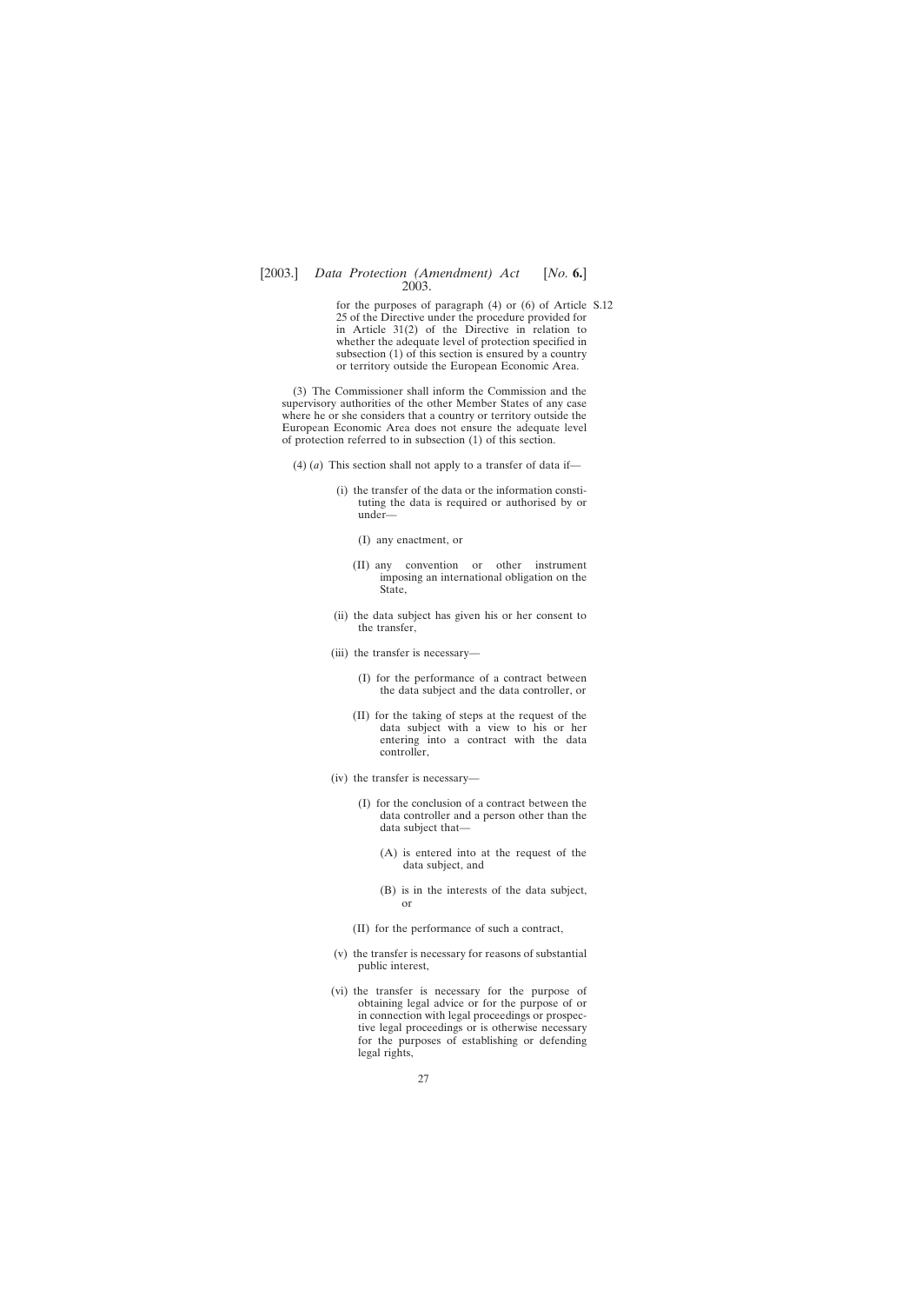for the purposes of paragraph (4) or (6) of Article S.1225 of the Directive under the procedure provided for in Article 31(2) of the Directive in relation to whether the adequate level of protection specified in subsection (1) of this section is ensured by a country or territory outside the European Economic Area.

(3) The Commissioner shall inform the Commission and the supervisory authorities of the other Member States of any case where he or she considers that a country or territory outside the European Economic Area does not ensure the adequate level of protection referred to in subsection (1) of this section.

- (4) (*a*) This section shall not apply to a transfer of data if—
	- (i) the transfer of the data or the information constituting the data is required or authorised by or under—
		- (I) any enactment, or
		- (II) any convention or other instrument imposing an international obligation on the State,
	- (ii) the data subject has given his or her consent to the transfer,
	- (iii) the transfer is necessary—
		- (I) for the performance of a contract between the data subject and the data controller, or
		- (II) for the taking of steps at the request of the data subject with a view to his or her entering into a contract with the data controller,
	- (iv) the transfer is necessary—
		- (I) for the conclusion of a contract between the data controller and a person other than the data subject that—
			- (A) is entered into at the request of the data subject, and
			- (B) is in the interests of the data subject, or
		- (II) for the performance of such a contract,
	- (v) the transfer is necessary for reasons of substantial public interest,
	- (vi) the transfer is necessary for the purpose of obtaining legal advice or for the purpose of or in connection with legal proceedings or prospective legal proceedings or is otherwise necessary for the purposes of establishing or defending legal rights,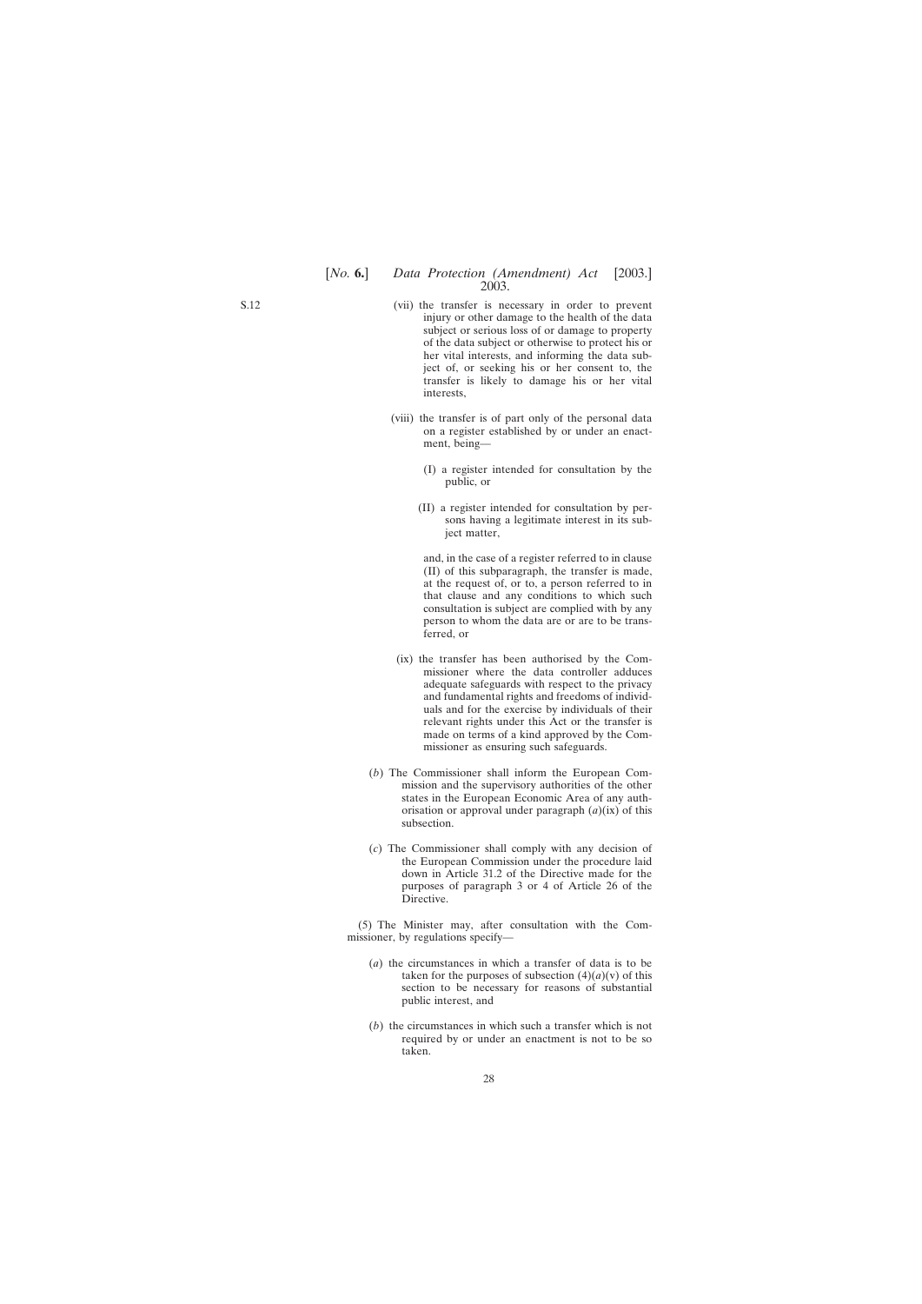- (vii) the transfer is necessary in order to prevent injury or other damage to the health of the data subject or serious loss of or damage to property of the data subject or otherwise to protect his or her vital interests, and informing the data subject of, or seeking his or her consent to, the transfer is likely to damage his or her vital interests,
- (viii) the transfer is of part only of the personal data on a register established by or under an enactment, being—
	- (I) a register intended for consultation by the public, or
	- (II) a register intended for consultation by persons having a legitimate interest in its subject matter,

and, in the case of a register referred to in clause (II) of this subparagraph, the transfer is made, at the request of, or to, a person referred to in that clause and any conditions to which such consultation is subject are complied with by any person to whom the data are or are to be transferred, or

- (ix) the transfer has been authorised by the Commissioner where the data controller adduces adequate safeguards with respect to the privacy and fundamental rights and freedoms of individuals and for the exercise by individuals of their relevant rights under this Act or the transfer is made on terms of a kind approved by the Commissioner as ensuring such safeguards.
- (*b*) The Commissioner shall inform the European Commission and the supervisory authorities of the other states in the European Economic Area of any authorisation or approval under paragraph (*a*)(ix) of this subsection.
- (*c*) The Commissioner shall comply with any decision of the European Commission under the procedure laid down in Article 31.2 of the Directive made for the purposes of paragraph 3 or 4 of Article 26 of the **Directive**

(5) The Minister may, after consultation with the Commissioner, by regulations specify—

- (*a*) the circumstances in which a transfer of data is to be taken for the purposes of subsection  $(4)(a)(v)$  of this section to be necessary for reasons of substantial public interest, and
- (*b*) the circumstances in which such a transfer which is not required by or under an enactment is not to be so taken.

S.12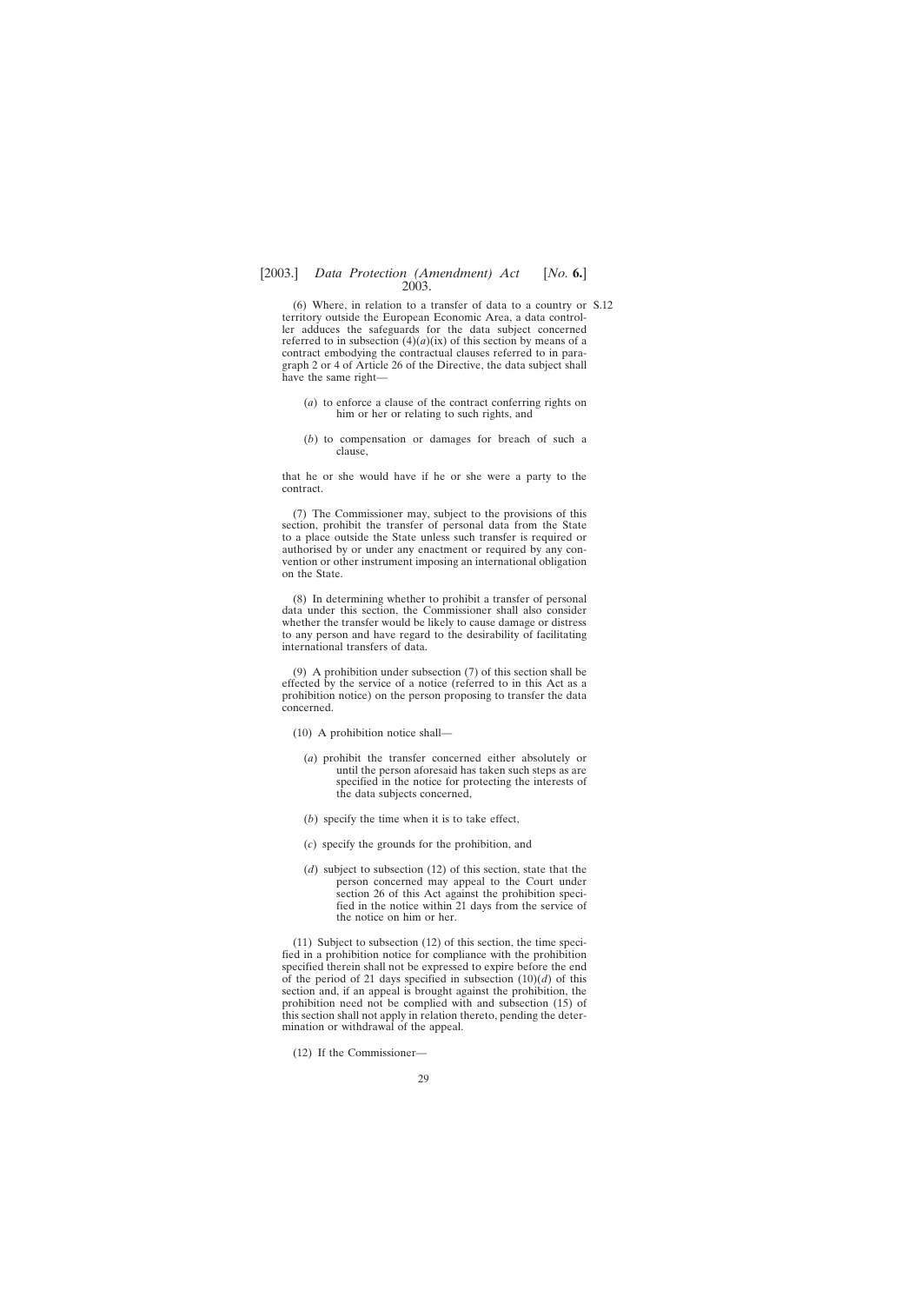(6) Where, in relation to a transfer of data to a country or S.12territory outside the European Economic Area, a data controller adduces the safeguards for the data subject concerned referred to in subsection  $(4)(a)(ix)$  of this section by means of a contract embodying the contractual clauses referred to in paragraph 2 or 4 of Article 26 of the Directive, the data subject shall have the same right—

- (*a*) to enforce a clause of the contract conferring rights on him or her or relating to such rights, and
- (*b*) to compensation or damages for breach of such a clause,

that he or she would have if he or she were a party to the contract.

(7) The Commissioner may, subject to the provisions of this section, prohibit the transfer of personal data from the State to a place outside the State unless such transfer is required or authorised by or under any enactment or required by any convention or other instrument imposing an international obligation on the State.

(8) In determining whether to prohibit a transfer of personal data under this section, the Commissioner shall also consider whether the transfer would be likely to cause damage or distress to any person and have regard to the desirability of facilitating international transfers of data.

(9) A prohibition under subsection (7) of this section shall be effected by the service of a notice (referred to in this Act as a prohibition notice) on the person proposing to transfer the data concerned.

- (10) A prohibition notice shall—
	- (*a*) prohibit the transfer concerned either absolutely or until the person aforesaid has taken such steps as are specified in the notice for protecting the interests of the data subjects concerned,
	- (*b*) specify the time when it is to take effect,
	- (*c*) specify the grounds for the prohibition, and
	- (*d*) subject to subsection (12) of this section, state that the person concerned may appeal to the Court under section 26 of this Act against the prohibition specified in the notice within 21 days from the service of the notice on him or her.

(11) Subject to subsection (12) of this section, the time specified in a prohibition notice for compliance with the prohibition specified therein shall not be expressed to expire before the end of the period of 21 days specified in subsection (10)(*d*) of this section and, if an appeal is brought against the prohibition, the prohibition need not be complied with and subsection (15) of this section shall not apply in relation thereto, pending the determination or withdrawal of the appeal.

(12) If the Commissioner—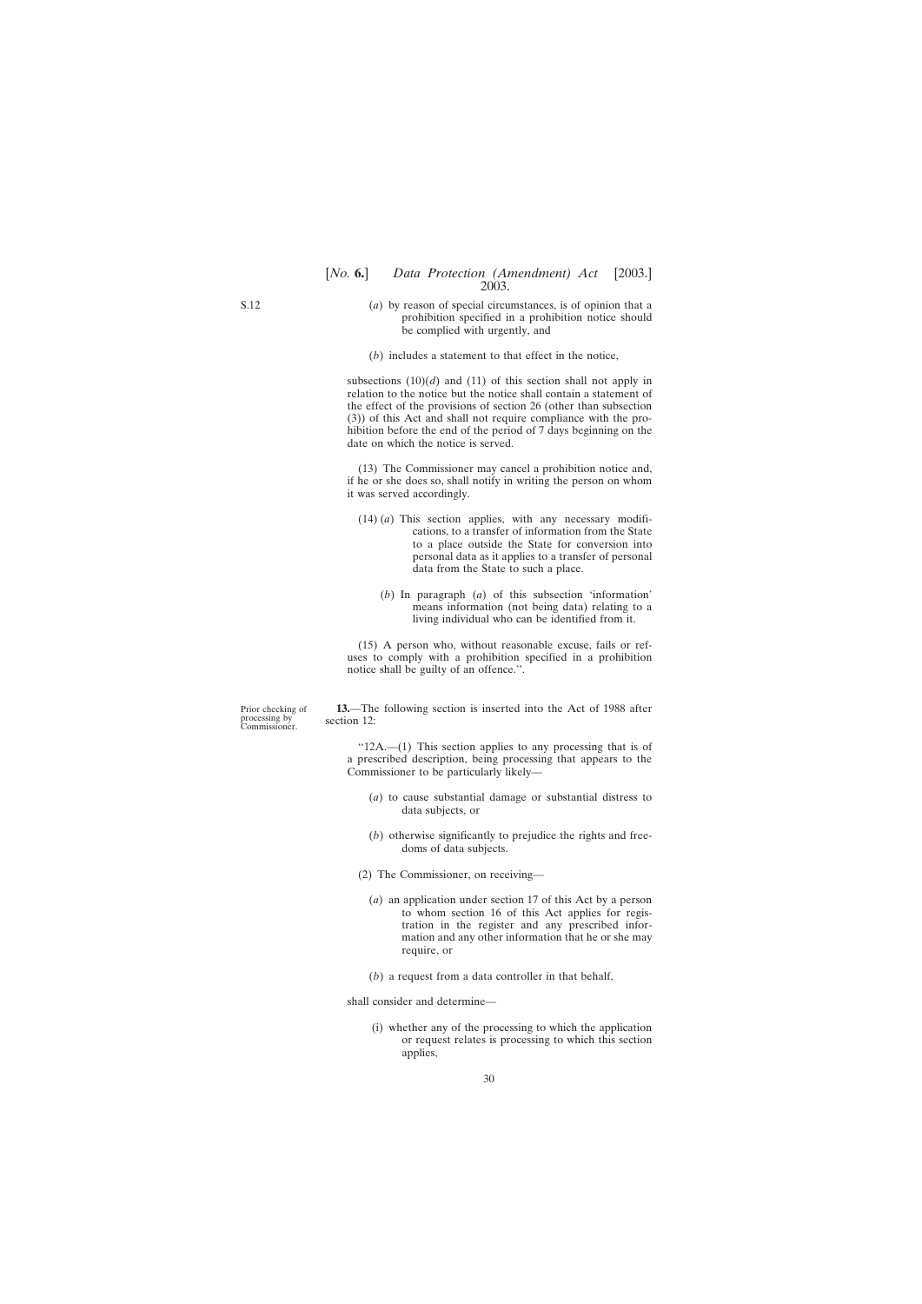#### <span id="page-29-0"></span>[*No.* **6.**] *Data Protection (Amendment) Act* [2003.] 2003.

- (*a*) by reason of special circumstances, is of opinion that a prohibition specified in a prohibition notice should be complied with urgently, and
- (*b*) includes a statement to that effect in the notice,

subsections  $(10)(d)$  and  $(11)$  of this section shall not apply in relation to the notice but the notice shall contain a statement of the effect of the provisions of section 26 (other than subsection (3)) of this Act and shall not require compliance with the prohibition before the end of the period of 7 days beginning on the date on which the notice is served.

(13) The Commissioner may cancel a prohibition notice and, if he or she does so, shall notify in writing the person on whom it was served accordingly.

- (14) (*a*) This section applies, with any necessary modifications, to a transfer of information from the State to a place outside the State for conversion into personal data as it applies to a transfer of personal data from the State to such a place.
	- (*b*) In paragraph (*a*) of this subsection 'information' means information (not being data) relating to a living individual who can be identified from it.

(15) A person who, without reasonable excuse, fails or refuses to comply with a prohibition specified in a prohibition notice shall be guilty of an offence.''.

Prior checking of processing by Commissioner.

**13.**—The following section is inserted into the Act of 1988 after section 12:

''12A.—(1) This section applies to any processing that is of a prescribed description, being processing that appears to the Commissioner to be particularly likely—

- (*a*) to cause substantial damage or substantial distress to data subjects, or
- (*b*) otherwise significantly to prejudice the rights and freedoms of data subjects.
- (2) The Commissioner, on receiving—
	- (*a*) an application under section 17 of this Act by a person to whom section 16 of this Act applies for registration in the register and any prescribed information and any other information that he or she may require, or
	- (*b*) a request from a data controller in that behalf,

shall consider and determine—

(i) whether any of the processing to which the application or request relates is processing to which this section applies,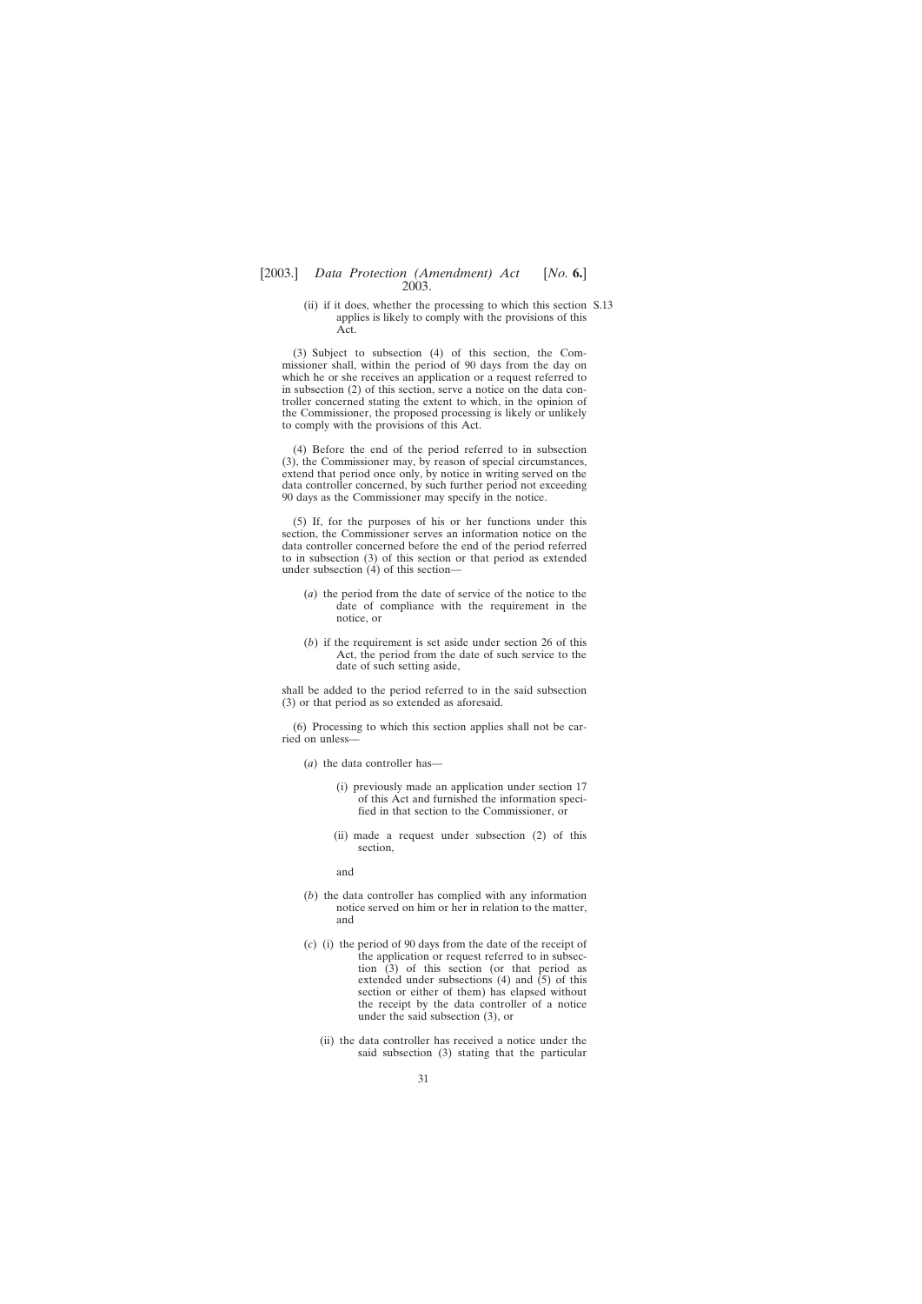(ii) if it does, whether the processing to which this section S.13applies is likely to comply with the provisions of this Act.

(3) Subject to subsection (4) of this section, the Commissioner shall, within the period of 90 days from the day on which he or she receives an application or a request referred to in subsection (2) of this section, serve a notice on the data controller concerned stating the extent to which, in the opinion of the Commissioner, the proposed processing is likely or unlikely to comply with the provisions of this Act.

(4) Before the end of the period referred to in subsection (3), the Commissioner may, by reason of special circumstances, extend that period once only, by notice in writing served on the data controller concerned, by such further period not exceeding 90 days as the Commissioner may specify in the notice.

(5) If, for the purposes of his or her functions under this section, the Commissioner serves an information notice on the data controller concerned before the end of the period referred to in subsection (3) of this section or that period as extended under subsection (4) of this section—

- (*a*) the period from the date of service of the notice to the date of compliance with the requirement in the notice, or
- (*b*) if the requirement is set aside under section 26 of this Act, the period from the date of such service to the date of such setting aside,

shall be added to the period referred to in the said subsection (3) or that period as so extended as aforesaid.

(6) Processing to which this section applies shall not be carried on unless—

- (*a*) the data controller has—
	- (i) previously made an application under section 17 of this Act and furnished the information specified in that section to the Commissioner, or
	- (ii) made a request under subsection (2) of this section,

and

- (*b*) the data controller has complied with any information notice served on him or her in relation to the matter, and
- (*c*) (i) the period of 90 days from the date of the receipt of the application or request referred to in subsection (3) of this section (or that period as extended under subsections (4) and (5) of this section or either of them) has elapsed without the receipt by the data controller of a notice under the said subsection (3), or
	- (ii) the data controller has received a notice under the said subsection (3) stating that the particular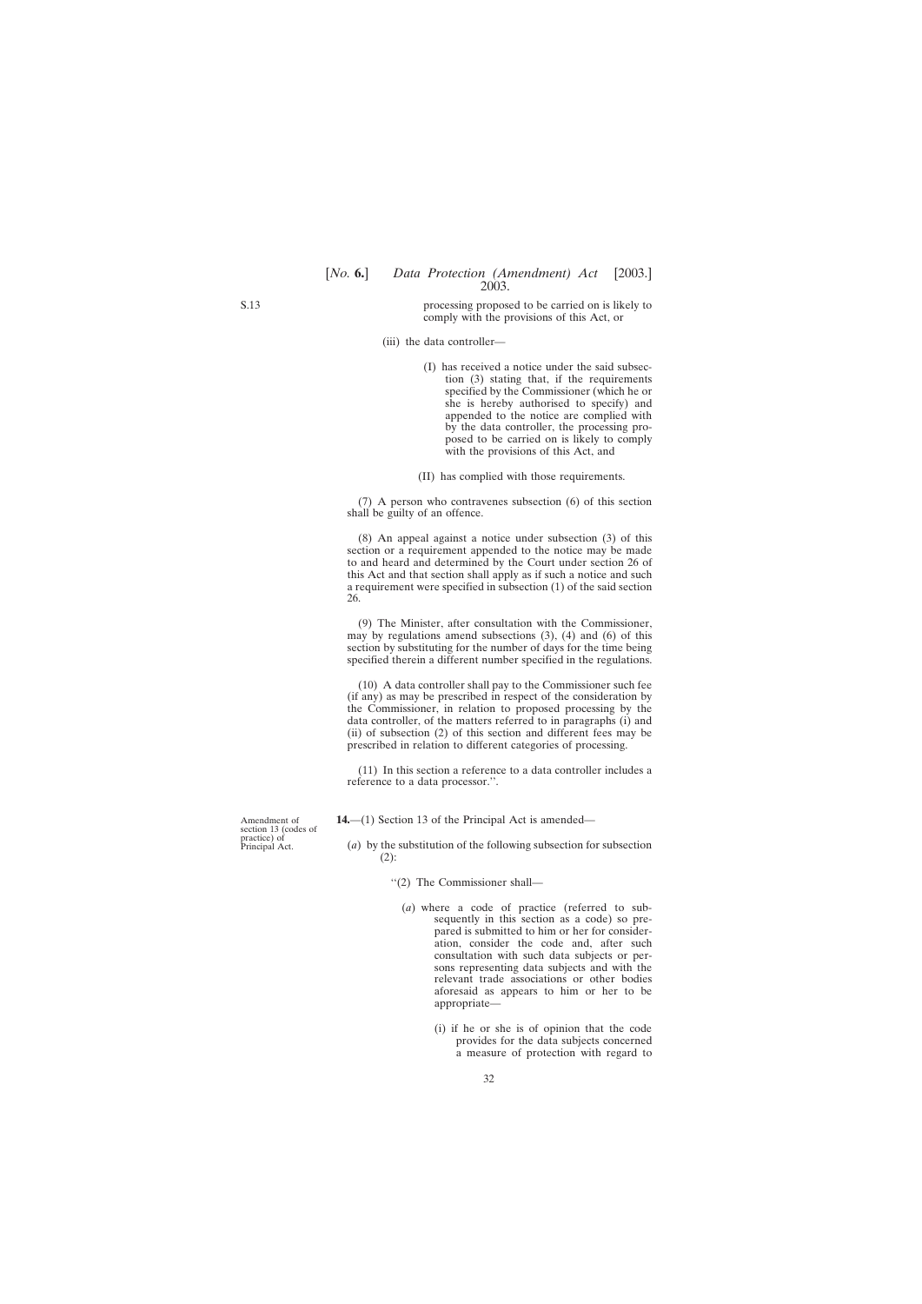processing proposed to be carried on is likely to comply with the provisions of this Act, or

- (iii) the data controller—
	- (I) has received a notice under the said subsection (3) stating that, if the requirements specified by the Commissioner (which he or she is hereby authorised to specify) and appended to the notice are complied with by the data controller, the processing proposed to be carried on is likely to comply with the provisions of this Act, and
	- (II) has complied with those requirements.

(7) A person who contravenes subsection (6) of this section shall be guilty of an offence.

(8) An appeal against a notice under subsection (3) of this section or a requirement appended to the notice may be made to and heard and determined by the Court under section 26 of this Act and that section shall apply as if such a notice and such a requirement were specified in subsection (1) of the said section 26.

(9) The Minister, after consultation with the Commissioner, may by regulations amend subsections  $(3)$ ,  $(4)$  and  $(6)$  of this section by substituting for the number of days for the time being specified therein a different number specified in the regulations.

(10) A data controller shall pay to the Commissioner such fee (if any) as may be prescribed in respect of the consideration by the Commissioner, in relation to proposed processing by the data controller, of the matters referred to in paragraphs (i) and (ii) of subsection (2) of this section and different fees may be prescribed in relation to different categories of processing.

(11) In this section a reference to a data controller includes a reference to a data processor.''.

**14.**—(1) Section 13 of the Principal Act is amended—

- (*a*) by the substitution of the following subsection for subsection (2):
	- ''(2) The Commissioner shall—
		- (*a*) where a code of practice (referred to subsequently in this section as a code) so prepared is submitted to him or her for consideration, consider the code and, after such consultation with such data subjects or persons representing data subjects and with the relevant trade associations or other bodies aforesaid as appears to him or her to be appropriate—
			- (i) if he or she is of opinion that the code provides for the data subjects concerned a measure of protection with regard to

Amendment of section 13 (codes of practice) of Principal Act.

<span id="page-31-0"></span>S.13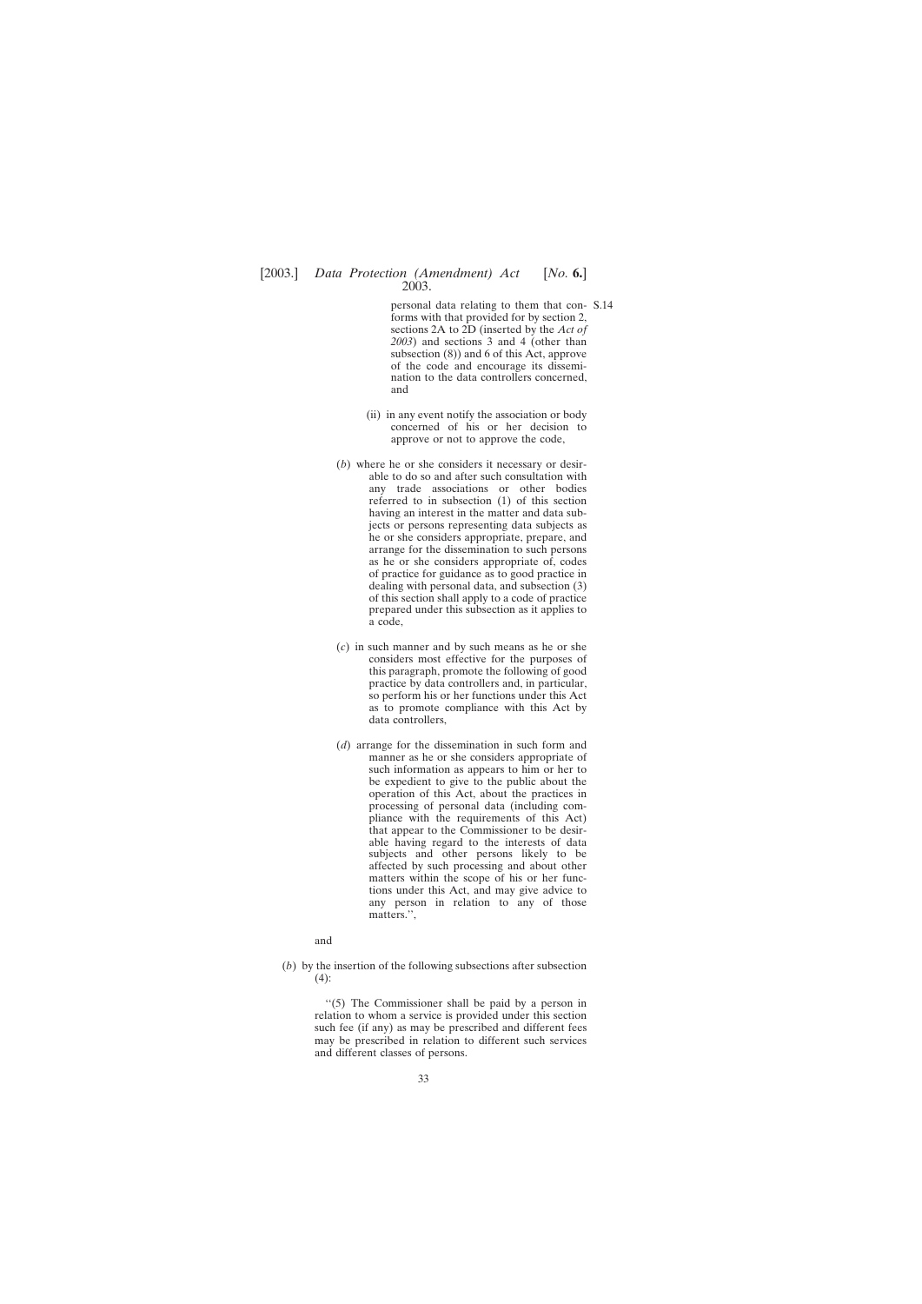personal data relating to them that con-S.14forms with that provided for by section 2, sections 2A to 2D (inserted by the *Act of 2003*) and sections 3 and 4 (other than subsection (8)) and 6 of this Act, approve of the code and encourage its dissemination to the data controllers concerned, and

- (ii) in any event notify the association or body concerned of his or her decision to approve or not to approve the code,
- (*b*) where he or she considers it necessary or desirable to do so and after such consultation with any trade associations or other bodies referred to in subsection (1) of this section having an interest in the matter and data subjects or persons representing data subjects as he or she considers appropriate, prepare, and arrange for the dissemination to such persons as he or she considers appropriate of, codes of practice for guidance as to good practice in dealing with personal data, and subsection (3) of this section shall apply to a code of practice prepared under this subsection as it applies to a code,
- (*c*) in such manner and by such means as he or she considers most effective for the purposes of this paragraph, promote the following of good practice by data controllers and, in particular, so perform his or her functions under this Act as to promote compliance with this Act by data controllers,
- (*d*) arrange for the dissemination in such form and manner as he or she considers appropriate of such information as appears to him or her to be expedient to give to the public about the operation of this Act, about the practices in processing of personal data (including compliance with the requirements of this Act) that appear to the Commissioner to be desirable having regard to the interests of data subjects and other persons likely to be affected by such processing and about other matters within the scope of his or her functions under this Act, and may give advice to any person in relation to any of those matters.'',

#### and

(*b*) by the insertion of the following subsections after subsection  $(4)$ :

> ''(5) The Commissioner shall be paid by a person in relation to whom a service is provided under this section such fee (if any) as may be prescribed and different fees may be prescribed in relation to different such services and different classes of persons.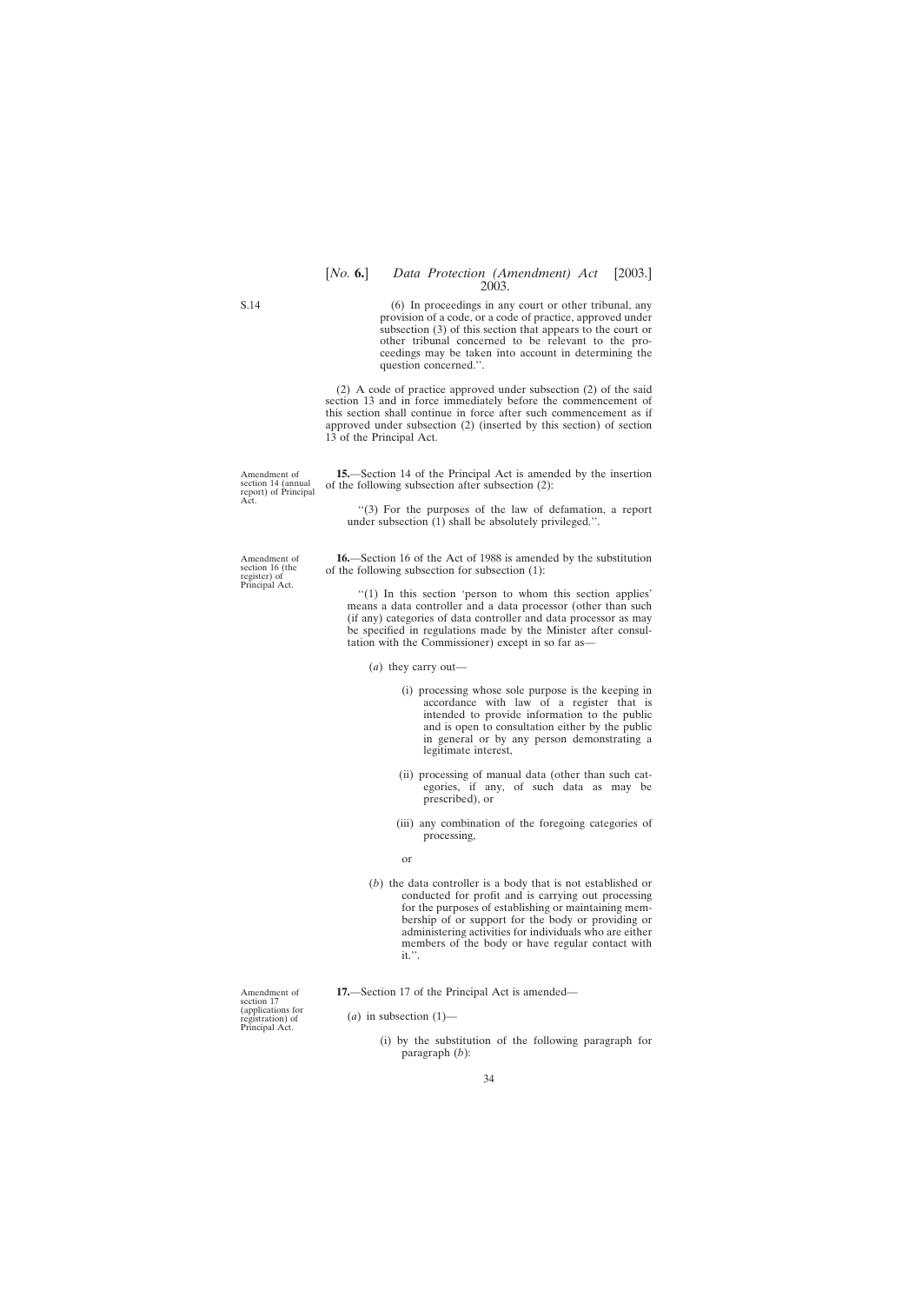(6) In proceedings in any court or other tribunal, any provision of a code, or a code of practice, approved under subsection (3) of this section that appears to the court or other tribunal concerned to be relevant to the proceedings may be taken into account in determining the question concerned.''.

2003.

(2) A code of practice approved under subsection (2) of the said section 13 and in force immediately before the commencement of this section shall continue in force after such commencement as if approved under subsection (2) (inserted by this section) of section 13 of the Principal Act.

**15.**—Section 14 of the Principal Act is amended by the insertion of the following subsection after subsection (2):

''(3) For the purposes of the law of defamation, a report under subsection (1) shall be absolutely privileged.''.

**16.**—Section 16 of the Act of 1988 is amended by the substitution of the following subsection for subsection (1):

''(1) In this section 'person to whom this section applies' means a data controller and a data processor (other than such (if any) categories of data controller and data processor as may be specified in regulations made by the Minister after consultation with the Commissioner) except in so far as—

- (*a*) they carry out—
	- (i) processing whose sole purpose is the keeping in accordance with law of a register that is intended to provide information to the public and is open to consultation either by the public in general or by any person demonstrating a legitimate interest,
	- (ii) processing of manual data (other than such categories, if any, of such data as may be prescribed), or
	- (iii) any combination of the foregoing categories of processing,
	- or
- (*b*) the data controller is a body that is not established or conducted for profit and is carrying out processing for the purposes of establishing or maintaining membership of or support for the body or providing or administering activities for individuals who are either members of the body or have regular contact with it.''.

**17.**—Section 17 of the Principal Act is amended—

Amendment of section 17 (applications for registration) of Principal Act.

- $(a)$  in subsection  $(1)$ 
	- (i) by the substitution of the following paragraph for paragraph (*b*):

<span id="page-33-0"></span>S.14

Amendment of section 16 (the register) of Principal Act.

Amendment of section 14 (annual report) of Principal

Act.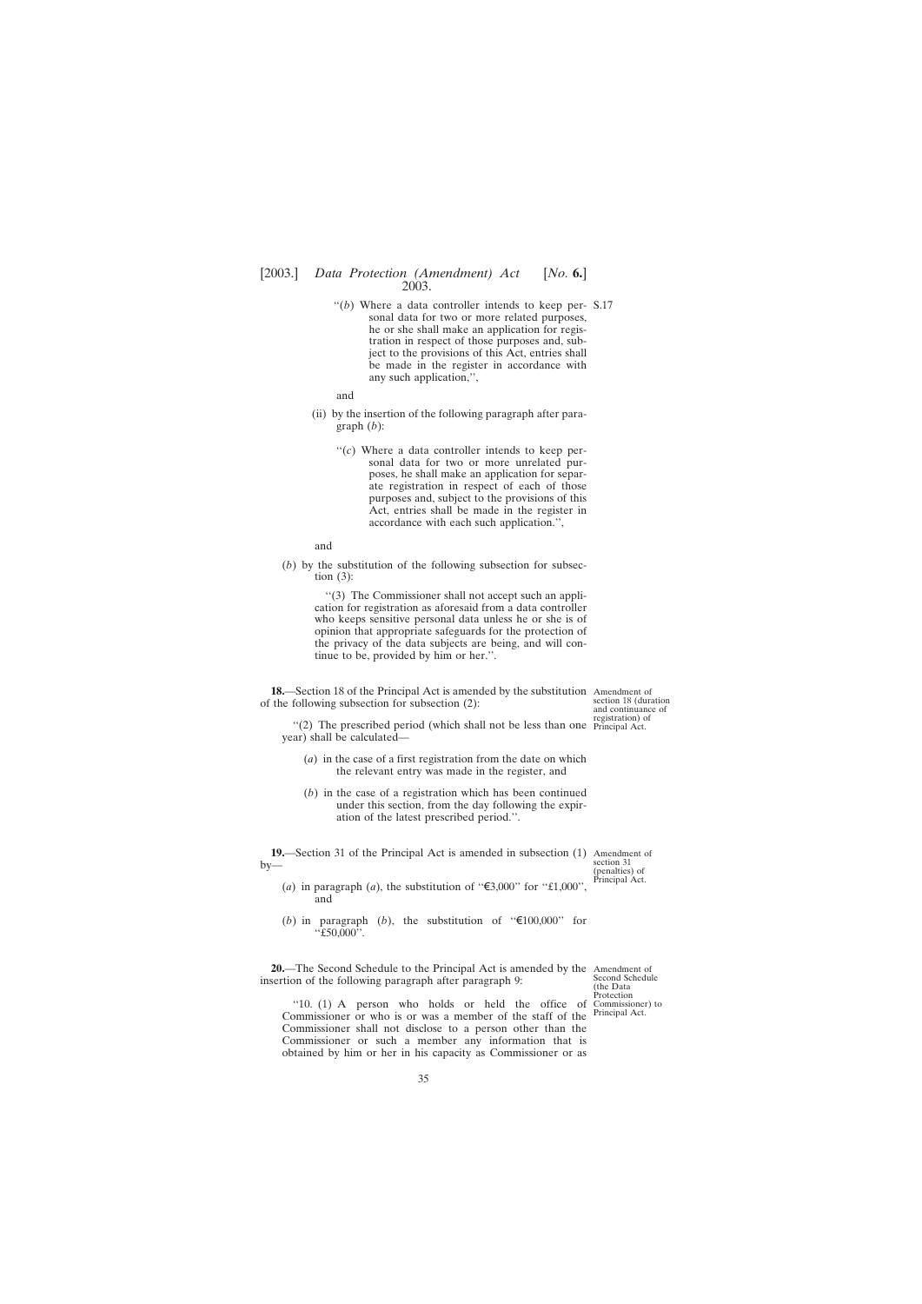<span id="page-34-0"></span>"(b) Where a data controller intends to keep per- $S.17$ sonal data for two or more related purposes, he or she shall make an application for registration in respect of those purposes and, subject to the provisions of this Act, entries shall be made in the register in accordance with any such application,'',

and

- (ii) by the insertion of the following paragraph after paragraph (*b*):
	- "(c) Where a data controller intends to keep personal data for two or more unrelated purposes, he shall make an application for separate registration in respect of each of those purposes and, subject to the provisions of this Act, entries shall be made in the register in accordance with each such application.'',

and

(*b*) by the substitution of the following subsection for subsection  $(3)$ :

> ''(3) The Commissioner shall not accept such an application for registration as aforesaid from a data controller who keeps sensitive personal data unless he or she is of opinion that appropriate safeguards for the protection of the privacy of the data subjects are being, and will continue to be, provided by him or her.''.

**18.**—Section 18 of the Principal Act is amended by the substitution Amendment of of the following subsection for subsection (2):

"(2) The prescribed period (which shall not be less than one Principal Act. year) shall be calculated—

- (*a*) in the case of a first registration from the date on which the relevant entry was made in the register, and
- (*b*) in the case of a registration which has been continued under this section, from the day following the expiration of the latest prescribed period.''.

**19.**—Section 31 of the Principal Act is amended in subsection (1) Amendment of by—

section 18 (duration and continuance of registration) of

section 31 (penalties) of Principal Act.

- (*a*) in paragraph (*a*), the substitution of " $\epsilon$ 3,000" for "£1,000", and
- (*b*) in paragraph (*b*), the substitution of " $\epsilon$ 100,000" for ''£50,000''.

**20.**—The Second Schedule to the Principal Act is amended by the Amendment of insertion of the following paragraph after paragraph 9:

Second Schedule (the Data Protection Principal Act.

''10. (1) A person who holds or held the office of Commissioner) to Commissioner or who is or was a member of the staff of the Commissioner shall not disclose to a person other than the Commissioner or such a member any information that is obtained by him or her in his capacity as Commissioner or as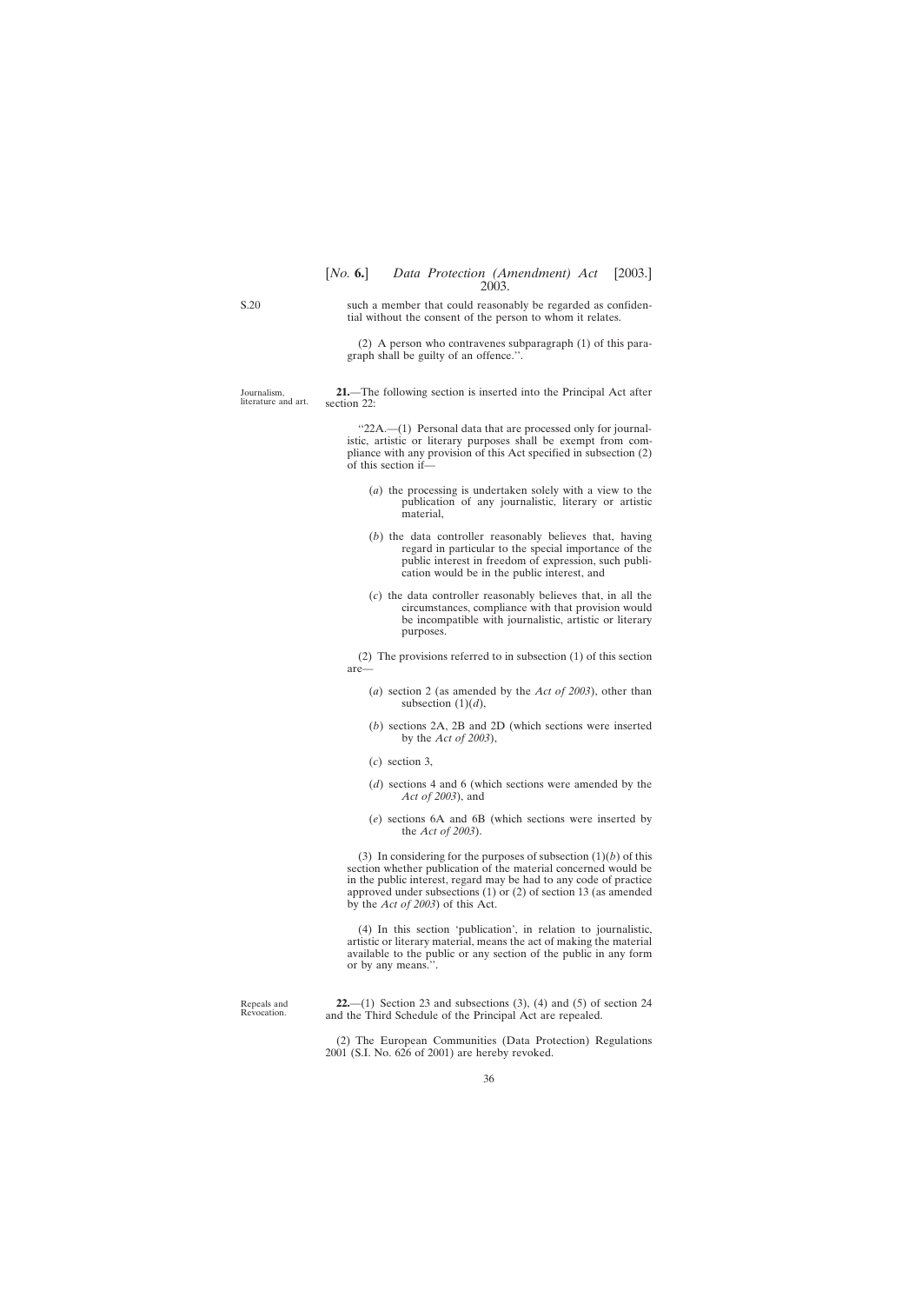such a member that could reasonably be regarded as confidential without the consent of the person to whom it relates.

> (2) A person who contravenes subparagraph (1) of this paragraph shall be guilty of an offence.''.

Journalism, literature and art.

**21.**—The following section is inserted into the Principal Act after section 22:

"22A.—(1) Personal data that are processed only for journalistic, artistic or literary purposes shall be exempt from compliance with any provision of this Act specified in subsection (2) of this section if—

- (*a*) the processing is undertaken solely with a view to the publication of any journalistic, literary or artistic material,
- (*b*) the data controller reasonably believes that, having regard in particular to the special importance of the public interest in freedom of expression, such publication would be in the public interest, and
- (*c*) the data controller reasonably believes that, in all the circumstances, compliance with that provision would be incompatible with journalistic, artistic or literary purposes.

(2) The provisions referred to in subsection (1) of this section are—

- (*a*) section 2 (as amended by the *Act of 2003*), other than subsection  $(1)(d)$ ,
- (*b*) sections 2A, 2B and 2D (which sections were inserted by the *Act of 2003*),
- (*c*) section 3,
- (*d*) sections 4 and 6 (which sections were amended by the *Act of 2003*), and
- (*e*) sections 6A and 6B (which sections were inserted by the *Act of 2003*).

(3) In considering for the purposes of subsection  $(1)(b)$  of this section whether publication of the material concerned would be in the public interest, regard may be had to any code of practice approved under subsections (1) or (2) of section 13 (as amended by the *Act of 2003*) of this Act.

(4) In this section 'publication', in relation to journalistic, artistic or literary material, means the act of making the material available to the public or any section of the public in any form or by any means.''.

**22.**—(1) Section 23 and subsections (3), (4) and (5) of section 24 and the Third Schedule of the Principal Act are repealed.

(2) The European Communities (Data Protection) Regulations 2001 (S.I. No. 626 of 2001) are hereby revoked.

Repeals and Revocation.

<span id="page-35-0"></span>S.20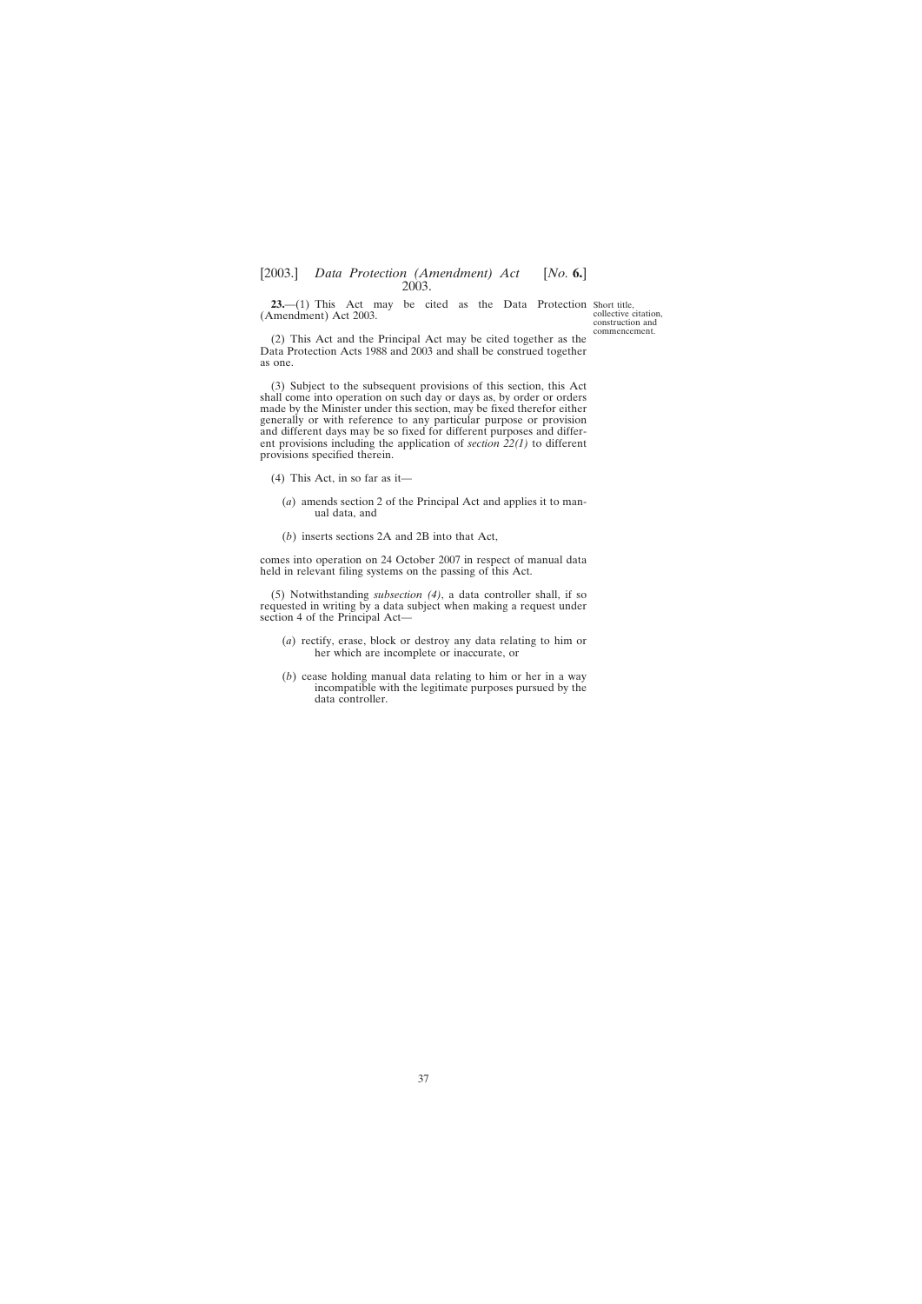<span id="page-36-0"></span>**23.**—(1) This Act may be cited as the Data Protection Short title, (Amendment) Act 2003.

collective citation, construction and commencement.

(2) This Act and the Principal Act may be cited together as the Data Protection Acts 1988 and 2003 and shall be construed together as one.

(3) Subject to the subsequent provisions of this section, this Act shall come into operation on such day or days as, by order or orders made by the Minister under this section, may be fixed therefor either generally or with reference to any particular purpose or provision and different days may be so fixed for different purposes and different provisions including the application of *section 22(1)* to different provisions specified therein.

- (4) This Act, in so far as it—
	- (*a*) amends section 2 of the Principal Act and applies it to manual data, and
	- (*b*) inserts sections 2A and 2B into that Act,

comes into operation on 24 October 2007 in respect of manual data held in relevant filing systems on the passing of this Act.

(5) Notwithstanding *subsection (4)*, a data controller shall, if so requested in writing by a data subject when making a request under section 4 of the Principal Act—

- (*a*) rectify, erase, block or destroy any data relating to him or her which are incomplete or inaccurate, or
- (*b*) cease holding manual data relating to him or her in a way incompatible with the legitimate purposes pursued by the data controller.